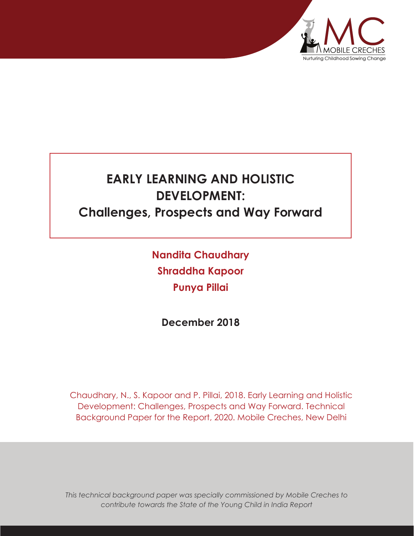

# **EARLY LEARNING AND HOLISTIC DEVELOPMENT: Challenges, Prospects and Way Forward**

**Nandita Chaudhary Shraddha Kapoor Punya Pillai**

**December 2018**

Chaudhary, N., S. Kapoor and P. Pillai, 2018. Early Learning and Holistic Development: Challenges, Prospects and Way Forward. Technical Background Paper for the Report, 2020. Mobile Creches, New Delhi

*This technical background paper was specially commissioned by Mobile Creches to contribute towards the State of the Young Child in India Report*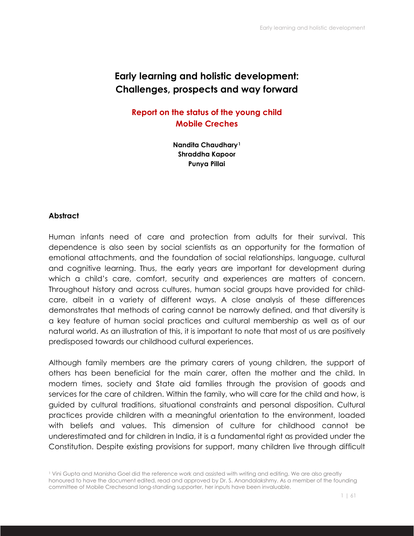## **Early learning and holistic development: Challenges, prospects and way forward**

**Report on the status of the young child Mobile Creches**

> **Nandita Chaudhary1 Shraddha Kapoor Punya Pillai**

#### **Abstract**

Human infants need of care and protection from adults for their survival. This dependence is also seen by social scientists as an opportunity for the formation of emotional attachments, and the foundation of social relationships, language, cultural and cognitive learning. Thus, the early years are important for development during which a child's care, comfort, security and experiences are matters of concern. Throughout history and across cultures, human social groups have provided for childcare, albeit in a variety of different ways. A close analysis of these differences demonstrates that methods of caring cannot be narrowly defined, and that diversity is a key feature of human social practices and cultural membership as well as of our natural world. As an illustration of this, it is important to note that most of us are positively predisposed towards our childhood cultural experiences.

Although family members are the primary carers of young children, the support of others has been beneficial for the main carer, often the mother and the child. In modern times, society and State aid families through the provision of goods and services for the care of children. Within the family, who will care for the child and how, is guided by cultural traditions, situational constraints and personal disposition. Cultural practices provide children with a meaningful orientation to the environment, loaded with beliefs and values. This dimension of culture for childhood cannot be underestimated and for children in India, it is a fundamental right as provided under the Constitution. Despite existing provisions for support, many children live through difficult

<sup>1</sup> Vini Gupta and Manisha Goel did the reference work and assisted with writing and editing. We are also greatly honoured to have the document edited, read and approved by Dr. S. Anandalakshmy. As a member of the founding committee of Mobile Crechesand long-standing supporter, her inputs have been invaluable.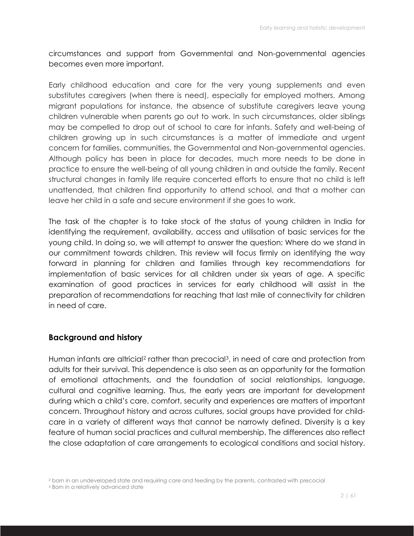circumstances and support from Governmental and Non-governmental agencies becomes even more important.

Early childhood education and care for the very young supplements and even substitutes caregivers (when there is need), especially for employed mothers. Among migrant populations for instance, the absence of substitute caregivers leave young children vulnerable when parents go out to work. In such circumstances, older siblings may be compelled to drop out of school to care for infants. Safety and well-being of children growing up in such circumstances is a matter of immediate and urgent concern for families, communities, the Governmental and Non-governmental agencies. Although policy has been in place for decades, much more needs to be done in practice to ensure the well-being of all young children in and outside the family. Recent structural changes in family life require concerted efforts to ensure that no child is left unattended, that children find opportunity to attend school, and that a mother can leave her child in a safe and secure environment if she goes to work.

The task of the chapter is to take stock of the status of young children in India for identifying the requirement, availability, access and utilisation of basic services for the young child. In doing so, we will attempt to answer the question: Where do we stand in our commitment towards children. This review will focus firmly on identifying the way forward in planning for children and families through key recommendations for implementation of basic services for all children under six years of age. A specific examination of good practices in services for early childhood will assist in the preparation of recommendations for reaching that last mile of connectivity for children in need of care.

## **Background and history**

Human infants are altricial<sup>2</sup> rather than precocial<sup>3</sup>, in need of care and protection from adults for their survival. This dependence is also seen as an opportunity for the formation of emotional attachments, and the foundation of social relationships, language, cultural and cognitive learning. Thus, the early years are important for development during which a child's care, comfort, security and experiences are matters of important concern. Throughout history and across cultures, social groups have provided for childcare in a variety of different ways that cannot be narrowly defined. Diversity is a key feature of human social practices and cultural membership. The differences also reflect the close adaptation of care arrangements to ecological conditions and social history.

<sup>2</sup> born in an undeveloped state and requiring care and feeding by the parents, contrasted with precocial

<sup>3</sup> Born in a relatively advanced state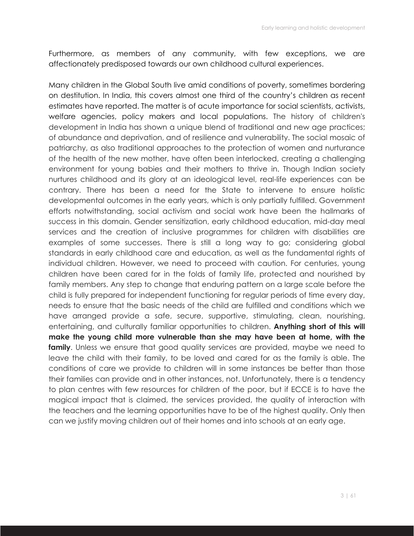Furthermore, as members of any community, with few exceptions, we are affectionately predisposed towards our own childhood cultural experiences.

Many children in the Global South live amid conditions of poverty, sometimes bordering on destitution. In India, this covers almost one third of the country's children as recent estimates have reported. The matter is of acute importance for social scientists, activists, welfare agencies, policy makers and local populations. The history of children's development in India has shown a unique blend of traditional and new age practices; of abundance and deprivation, and of resilience and vulnerability. The social mosaic of patriarchy, as also traditional approaches to the protection of women and nurturance of the health of the new mother, have often been interlocked, creating a challenging environment for young babies and their mothers to thrive in. Though Indian society nurtures childhood and its glory at an ideological level, real-life experiences can be contrary. There has been a need for the State to intervene to ensure holistic developmental outcomes in the early years, which is only partially fulfilled. Government efforts notwithstanding, social activism and social work have been the hallmarks of success in this domain. Gender sensitization, early childhood education, mid-day meal services and the creation of inclusive programmes for children with disabilities are examples of some successes. There is still a long way to go; considering global standards in early childhood care and education, as well as the fundamental rights of individual children. However, we need to proceed with caution. For centuries, young children have been cared for in the folds of family life, protected and nourished by family members. Any step to change that enduring pattern on a large scale before the child is fully prepared for independent functioning for regular periods of time every day, needs to ensure that the basic needs of the child are fulfilled and conditions which we have arranged provide a safe, secure, supportive, stimulating, clean, nourishing, entertaining, and culturally familiar opportunities to children. **Anything short of this will make the young child more vulnerable than she may have been at home, with the family**. Unless we ensure that good quality services are provided, maybe we need to leave the child with their family, to be loved and cared for as the family is able. The conditions of care we provide to children will in some instances be better than those their families can provide and in other instances, not. Unfortunately, there is a tendency to plan centres with few resources for children of the poor, but if ECCE is to have the magical impact that is claimed, the services provided, the quality of interaction with the teachers and the learning opportunities have to be of the highest quality. Only then can we justify moving children out of their homes and into schools at an early age.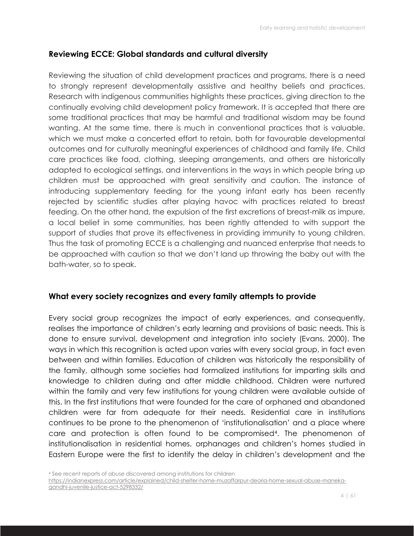## **Reviewing ECCE: Global standards and cultural diversity**

Reviewing the situation of child development practices and programs, there is a need to strongly represent developmentally assistive and healthy beliefs and practices. Research with indigenous communities highlights these practices, giving direction to the continually evolving child development policy framework. It is accepted that there are some traditional practices that may be harmful and traditional wisdom may be found wanting. At the same time, there is much in conventional practices that is valuable, which we must make a concerted effort to retain, both for favourable developmental outcomes and for culturally meaningful experiences of childhood and family life. Child care practices like food, clothing, sleeping arrangements, and others are historically adapted to ecological settings, and interventions in the ways in which people bring up children must be approached with great sensitivity and caution. The instance of introducing supplementary feeding for the young infant early has been recently rejected by scientific studies after playing havoc with practices related to breast feeding. On the other hand, the expulsion of the first excretions of breast-milk as impure, a local belief in some communities, has been rightly attended to with support the support of studies that prove its effectiveness in providing immunity to young children. Thus the task of promoting ECCE is a challenging and nuanced enterprise that needs to be approached with caution so that we don't land up throwing the baby out with the bath-water, so to speak.

#### **What every society recognizes and every family attempts to provide**

Every social group recognizes the impact of early experiences, and consequently, realises the importance of children's early learning and provisions of basic needs. This is done to ensure survival, development and integration into society (Evans, 2000). The ways in which this recognition is acted upon varies with every social group, in fact even between and within families. Education of children was historically the responsibility of the family, although some societies had formalized institutions for imparting skills and knowledge to children during and after middle childhood. Children were nurtured within the family and very few institutions for young children were available outside of this. In the first institutions that were founded for the care of orphaned and abandoned children were far from adequate for their needs. Residential care in institutions continues to be prone to the phenomenon of 'institutionalisation' and a place where care and protection is often found to be compromised4. The phenomenon of institutionalisation in residential homes, orphanages and children's homes studied in Eastern Europe were the first to identify the delay in children's development and the

<sup>4</sup> See recent reports of abuse discovered among institutions for children https://indianexpress.com/article/explained/child-shelter-home-muzaffarpur-deoria-home-sexual-abuse-manekagandhi-juvenile-justice-act-5298332/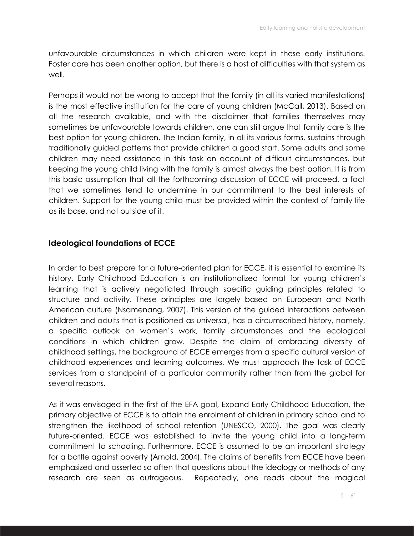unfavourable circumstances in which children were kept in these early institutions. Foster care has been another option, but there is a host of difficulties with that system as well.

Perhaps it would not be wrong to accept that the family (in all its varied manifestations) is the most effective institution for the care of young children (McCall, 2013). Based on all the research available, and with the disclaimer that families themselves may sometimes be unfavourable towards children, one can still argue that family care is the best option for young children. The Indian family, in all its various forms, sustains through traditionally guided patterns that provide children a good start. Some adults and some children may need assistance in this task on account of difficult circumstances, but keeping the young child living with the family is almost always the best option. It is from this basic assumption that all the forthcoming discussion of ECCE will proceed, a fact that we sometimes tend to undermine in our commitment to the best interests of children. Support for the young child must be provided within the context of family life as its base, and not outside of it.

## **Ideological foundations of ECCE**

In order to best prepare for a future-oriented plan for ECCE, it is essential to examine its history. Early Childhood Education is an institutionalized format for young children's learning that is actively negotiated through specific guiding principles related to structure and activity. These principles are largely based on European and North American culture (Nsamenang, 2007). This version of the guided interactions between children and adults that is positioned as universal, has a circumscribed history, namely, a specific outlook on women's work, family circumstances and the ecological conditions in which children grow. Despite the claim of embracing diversity of childhood settings, the background of ECCE emerges from a specific cultural version of childhood experiences and learning outcomes. We must approach the task of ECCE services from a standpoint of a particular community rather than from the global for several reasons.

As it was envisaged in the first of the EFA goal, Expand Early Childhood Education, the primary objective of ECCE is to attain the enrolment of children in primary school and to strengthen the likelihood of school retention (UNESCO, 2000). The goal was clearly future-oriented. ECCE was established to invite the young child into a long-term commitment to schooling. Furthermore, ECCE is assumed to be an important strategy for a battle against poverty (Arnold, 2004). The claims of benefits from ECCE have been emphasized and asserted so often that questions about the ideology or methods of any research are seen as outrageous. Repeatedly, one reads about the magical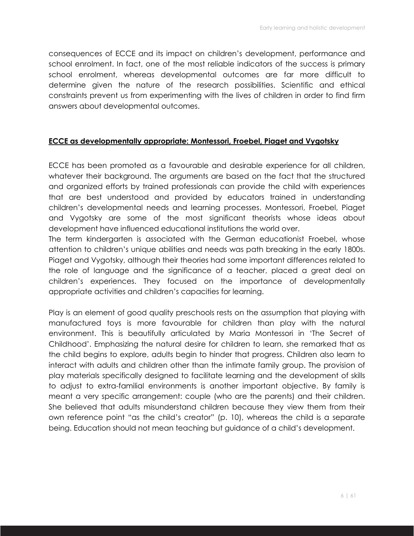consequences of ECCE and its impact on children's development, performance and school enrolment. In fact, one of the most reliable indicators of the success is primary school enrolment, whereas developmental outcomes are far more difficult to determine given the nature of the research possibilities. Scientific and ethical constraints prevent us from experimenting with the lives of children in order to find firm answers about developmental outcomes.

#### **ECCE as developmentally appropriate: Montessori, Froebel, Piaget and Vygotsky**

ECCE has been promoted as a favourable and desirable experience for all children, whatever their background. The arguments are based on the fact that the structured and organized efforts by trained professionals can provide the child with experiences that are best understood and provided by educators trained in understanding children's developmental needs and learning processes. Montessori, Froebel, Piaget and Vygotsky are some of the most significant theorists whose ideas about development have influenced educational institutions the world over.

The term kindergarten is associated with the German educationist Froebel, whose attention to children's unique abilities and needs was path breaking in the early 1800s. Piaget and Vygotsky, although their theories had some important differences related to the role of language and the significance of a teacher, placed a great deal on children's experiences. They focused on the importance of developmentally appropriate activities and children's capacities for learning.

Play is an element of good quality preschools rests on the assumption that playing with manufactured toys is more favourable for children than play with the natural environment. This is beautifully articulated by Maria Montessori in 'The Secret of Childhood'. Emphasizing the natural desire for children to learn, she remarked that as the child begins to explore, adults begin to hinder that progress. Children also learn to interact with adults and children other than the intimate family group. The provision of play materials specifically designed to facilitate learning and the development of skills to adjust to extra-familial environments is another important objective. By family is meant a very specific arrangement: couple (who are the parents) and their children. She believed that adults misunderstand children because they view them from their own reference point "as the child's creator" (p. 10), whereas the child is a separate being. Education should not mean teaching but guidance of a child's development.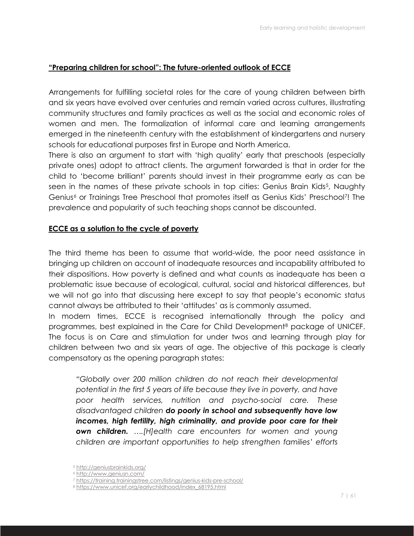#### **"Preparing children for school": The future-oriented outlook of ECCE**

Arrangements for fulfilling societal roles for the care of young children between birth and six years have evolved over centuries and remain varied across cultures, illustrating community structures and family practices as well as the social and economic roles of women and men. The formalization of informal care and learning arrangements emerged in the nineteenth century with the establishment of kindergartens and nursery schools for educational purposes first in Europe and North America.

There is also an argument to start with 'high quality' early that preschools (especially private ones) adopt to attract clients. The argument forwarded is that in order for the child to 'become brilliant' parents should invest in their programme early as can be seen in the names of these private schools in top cities: Genius Brain Kids<sup>5</sup>, Naughty Genius<sup>6</sup> or Trainings Tree Preschool that promotes itself as Genius Kids' Preschool<sup>7</sup>! The prevalence and popularity of such teaching shops cannot be discounted.

#### **ECCE as a solution to the cycle of poverty**

The third theme has been to assume that world-wide, the poor need assistance in bringing up children on account of inadequate resources and incapability attributed to their dispositions. How poverty is defined and what counts as inadequate has been a problematic issue because of ecological, cultural, social and historical differences, but we will not go into that discussing here except to say that people's economic status cannot always be attributed to their 'attitudes' as is commonly assumed.

In modern times, ECCE is recognised internationally through the policy and programmes, best explained in the Care for Child Development8 package of UNICEF. The focus is on Care and stimulation for under twos and learning through play for children between two and six years of age. The objective of this package is clearly compensatory as the opening paragraph states:

*"Globally over 200 million children do not reach their developmental potential in the first 5 years of life because they live in poverty, and have poor health services, nutrition and psycho-social care. These disadvantaged children do poorly in school and subsequently have low incomes, high fertility, high criminality, and provide poor care for their own children. ….[H]ealth care encounters for women and young children are important opportunities to help strengthen families' efforts* 

<sup>5</sup> http://geniusbrainkids.org/

<sup>6</sup> http://www.geniusn.com/

<sup>7</sup> https://training.trainingstree.com/listings/genius-kids-pre-school/

<sup>8</sup> https://www.unicef.org/earlychildhood/index\_68195.html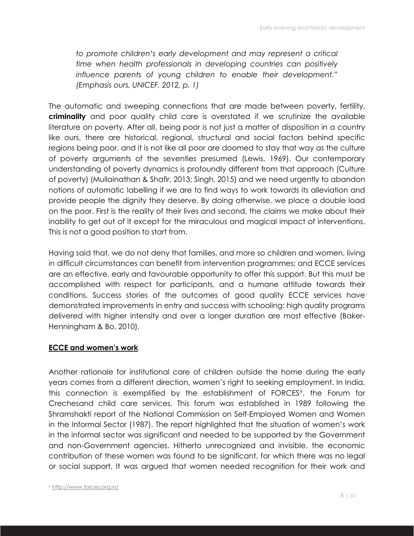*to promote children's early development and may represent a critical time when health professionals in developing countries can positively influence parents of young children to enable their development." (Emphasis ours, UNICEF, 2012, p. 1)*

The automatic and sweeping connections that are made between poverty, fertility, **criminality** and poor quality child care is overstated if we scrutinize the available literature on poverty. After all, being poor is not just a matter of disposition in a country like ours, there are historical, regional, structural and social factors behind specific regions being poor, and it is not like all poor are doomed to stay that way as the culture of poverty arguments of the seventies presumed (Lewis, 1969). Our contemporary understanding of poverty dynamics is profoundly different from that approach (Culture of poverty) (Mullainathan & Shafir, 2013; Singh, 2015) and we need urgently to abandon notions of automatic labelling if we are to find ways to work towards its alleviation and provide people the dignity they deserve. By doing otherwise, we place a double load on the poor. First is the reality of their lives and second, the claims we make about their inability to get out of it except for the miraculous and magical impact of interventions. This is not a good position to start from.

Having said that, we do not deny that families, and more so children and women, living in difficult circumstances can benefit from intervention programmes; and ECCE services are an effective, early and favourable opportunity to offer this support. But this must be accomplished with respect for participants, and a humane attitude towards their conditions. Success stories of the outcomes of good quality ECCE services have demonstrated improvements in entry and success with schooling: high quality programs delivered with higher intensity and over a longer duration are most effective (Baker-Henningham & Bo, 2010).

#### **ECCE and women's work**

Another rationale for institutional care of children outside the home during the early years comes from a different direction, women's right to seeking employment. In India, this connection is exemplified by the establishment of FORCES<sup>9</sup>, the Forum for Crechesand child care services. This forum was established in 1989 following the Shramshakti report of the National Commission on Self-Employed Women and Women in the Informal Sector (1987). The report highlighted that the situation of women's work in the informal sector was significant and needed to be supported by the Government and non-Government agencies. Hitherto unrecognized and invisible, the economic contribution of these women was found to be significant, for which there was no legal or social support. It was argued that women needed recognition for their work and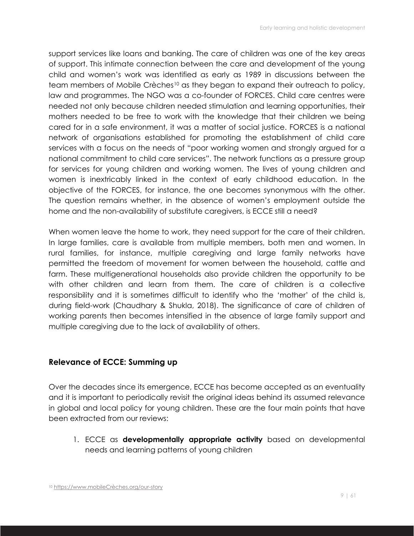support services like loans and banking. The care of children was one of the key areas of support. This intimate connection between the care and development of the young child and women's work was identified as early as 1989 in discussions between the team members of Mobile Crèches<sup>10</sup> as they began to expand their outreach to policy, law and programmes. The NGO was a co-founder of FORCES. Child care centres were needed not only because children needed stimulation and learning opportunities, their mothers needed to be free to work with the knowledge that their children we being cared for in a safe environment, it was a matter of social justice. FORCES is a national network of organisations established for promoting the establishment of child care services with a focus on the needs of "poor working women and strongly argued for a national commitment to child care services". The network functions as a pressure group for services for young children and working women. The lives of young children and women is inextricably linked in the context of early childhood education. In the objective of the FORCES, for instance, the one becomes synonymous with the other. The question remains whether, in the absence of women's employment outside the home and the non-availability of substitute caregivers, is ECCE still a need?

When women leave the home to work, they need support for the care of their children. In large families, care is available from multiple members, both men and women. In rural families, for instance, multiple caregiving and large family networks have permitted the freedom of movement for women between the household, cattle and farm. These multigenerational households also provide children the opportunity to be with other children and learn from them. The care of children is a collective responsibility and it is sometimes difficult to identify who the 'mother' of the child is, during field-work (Chaudhary & Shukla, 2018). The significance of care of children of working parents then becomes intensified in the absence of large family support and multiple caregiving due to the lack of availability of others.

## **Relevance of ECCE: Summing up**

Over the decades since its emergence, ECCE has become accepted as an eventuality and it is important to periodically revisit the original ideas behind its assumed relevance in global and local policy for young children. These are the four main points that have been extracted from our reviews:

1. ECCE as **developmentally appropriate activity** based on developmental needs and learning patterns of young children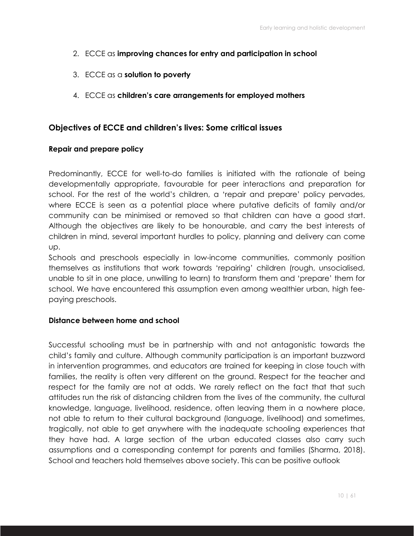- 2. ECCE as **improving chances for entry and participation in school**
- 3. ECCE as a **solution to poverty**
- 4. ECCE as **children's care arrangements for employed mothers**

#### **Objectives of ECCE and children's lives: Some critical issues**

#### **Repair and prepare policy**

Predominantly, ECCE for well-to-do families is initiated with the rationale of being developmentally appropriate, favourable for peer interactions and preparation for school. For the rest of the world's children, a 'repair and prepare' policy pervades, where ECCE is seen as a potential place where putative deficits of family and/or community can be minimised or removed so that children can have a good start. Although the objectives are likely to be honourable, and carry the best interests of children in mind, several important hurdles to policy, planning and delivery can come up.

Schools and preschools especially in low-income communities, commonly position themselves as institutions that work towards 'repairing' children (rough, unsocialised, unable to sit in one place, unwilling to learn) to transform them and 'prepare' them for school. We have encountered this assumption even among wealthier urban, high feepaying preschools.

#### **Distance between home and school**

Successful schooling must be in partnership with and not antagonistic towards the child's family and culture. Although community participation is an important buzzword in intervention programmes, and educators are trained for keeping in close touch with families, the reality is often very different on the ground. Respect for the teacher and respect for the family are not at odds. We rarely reflect on the fact that that such attitudes run the risk of distancing children from the lives of the community, the cultural knowledge, language, livelihood, residence, often leaving them in a nowhere place, not able to return to their cultural background (language, livelihood) and sometimes, tragically, not able to get anywhere with the inadequate schooling experiences that they have had. A large section of the urban educated classes also carry such assumptions and a corresponding contempt for parents and families (Sharma, 2018). School and teachers hold themselves above society. This can be positive outlook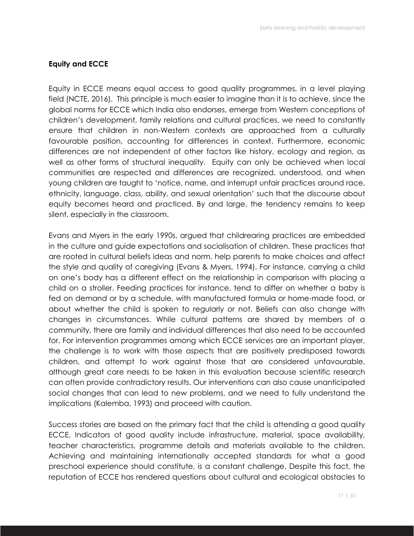#### **Equity and ECCE**

Equity in ECCE means equal access to good quality programmes, in a level playing field (NCTE, 2016). This principle is much easier to imagine than it is to achieve, since the global norms for ECCE which India also endorses, emerge from Western conceptions of children's development, family relations and cultural practices, we need to constantly ensure that children in non-Western contexts are approached from a culturally favourable position, accounting for differences in context. Furthermore, economic differences are not independent of other factors like history, ecology and region, as well as other forms of structural inequality. Equity can only be achieved when local communities are respected and differences are recognized, understood, and when young children are taught to 'notice, name, and interrupt unfair practices around race, ethnicity, language, class, ability, and sexual orientation' such that the discourse about equity becomes heard and practiced. By and large, the tendency remains to keep silent, especially in the classroom.

Evans and Myers in the early 1990s, argued that childrearing practices are embedded in the culture and guide expectations and socialisation of children. These practices that are rooted in cultural beliefs ideas and norm, help parents to make choices and affect the style and quality of caregiving (Evans & Myers, 1994). For instance, carrying a child on one's body has a different effect on the relationship in comparison with placing a child on a stroller. Feeding practices for instance, tend to differ on whether a baby is fed on demand or by a schedule, with manufactured formula or home-made food, or about whether the child is spoken to regularly or not. Beliefs can also change with changes in circumstances. While cultural patterns are shared by members of a community, there are family and individual differences that also need to be accounted for. For intervention programmes among which ECCE services are an important player, the challenge is to work with those aspects that are positively predisposed towards children, and attempt to work against those that are considered unfavourable, although great care needs to be taken in this evaluation because scientific research can often provide contradictory results. Our interventions can also cause unanticipated social changes that can lead to new problems, and we need to fully understand the implications (Kalemba, 1993) and proceed with caution.

Success stories are based on the primary fact that the child is attending a good quality ECCE. Indicators of good quality include infrastructure, material, space availability, teacher characteristics, programme details and materials available to the children. Achieving and maintaining internationally accepted standards for what a good preschool experience should constitute, is a constant challenge. Despite this fact, the reputation of ECCE has rendered questions about cultural and ecological obstacles to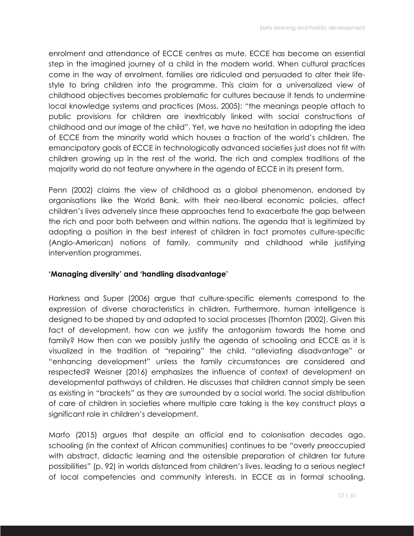enrolment and attendance of ECCE centres as mute. ECCE has become an essential step in the imagined journey of a child in the modern world. When cultural practices come in the way of enrolment, families are ridiculed and persuaded to alter their lifestyle to bring children into the programme. This claim for a universalized view of childhood objectives becomes problematic for cultures because it tends to undermine local knowledge systems and practices (Moss, 2005): "the meanings people attach to public provisions for children are inextricably linked with social constructions of childhood and our image of the child". Yet, we have no hesitation in adopting the idea of ECCE from the minority world which houses a fraction of the world's children. The emancipatory goals of ECCE in technologically advanced societies just does not fit with children growing up in the rest of the world. The rich and complex traditions of the majority world do not feature anywhere in the agenda of ECCE in its present form.

Penn (2002) claims the view of childhood as a global phenomenon, endorsed by organisations like the World Bank, with their neo-liberal economic policies, affect children's lives adversely since these approaches tend to exacerbate the gap between the rich and poor both between and within nations. The agenda that is legitimized by adopting a position in the best interest of children in fact promotes culture-specific (Anglo-American) notions of family, community and childhood while justifying intervention programmes.

#### **'Managing diversity' and 'handling disadvantage'**

Harkness and Super (2006) argue that culture-specific elements correspond to the expression of diverse characteristics in children. Furthermore, human intelligence is designed to be shaped by and adapted to social processes (Thornton (2002). Given this fact of development, how can we justify the antagonism towards the home and family? How then can we possibly justify the agenda of schooling and ECCE as it is visualized in the tradition of "repairing" the child, "alleviating disadvantage" or "enhancing development" unless the family circumstances are considered and respected? Weisner (2016) emphasizes the influence of context of development on developmental pathways of children. He discusses that children cannot simply be seen as existing in "brackets" as they are surrounded by a social world. The social distribution of care of children in societies where multiple care taking is the key construct plays a significant role in children's development.

Marfo (2015) argues that despite an official end to colonisation decades ago, schooling (in the context of African communities) continues to be "overly preoccupied with abstract, didactic learning and the ostensible preparation of children for future possibilities" (p. 92) in worlds distanced from children's lives, leading to a serious neglect of local competencies and community interests. In ECCE as in formal schooling,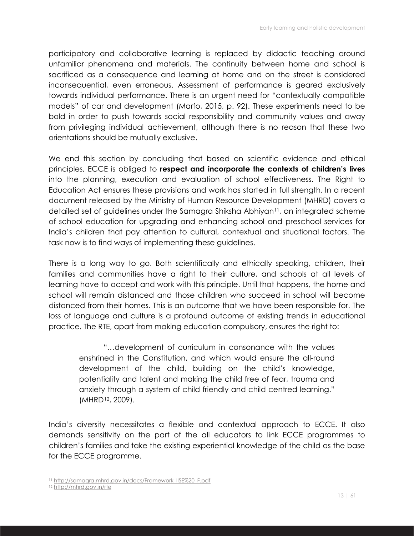participatory and collaborative learning is replaced by didactic teaching around unfamiliar phenomena and materials. The continuity between home and school is sacrificed as a consequence and learning at home and on the street is considered inconsequential, even erroneous. Assessment of performance is geared exclusively towards individual performance. There is an urgent need for "contextually compatible models" of car and development (Marfo, 2015, p. 92). These experiments need to be bold in order to push towards social responsibility and community values and away from privileging individual achievement, although there is no reason that these two orientations should be mutually exclusive.

We end this section by concluding that based on scientific evidence and ethical principles, ECCE is obliged to **respect and incorporate the contexts of children's lives** into the planning, execution and evaluation of school effectiveness. The Right to Education Act ensures these provisions and work has started in full strength. In a recent document released by the Ministry of Human Resource Development (MHRD) covers a detailed set of guidelines under the Samagra Shiksha Abhiyan11, an integrated scheme of school education for upgrading and enhancing school and preschool services for India's children that pay attention to cultural, contextual and situational factors. The task now is to find ways of implementing these guidelines.

There is a long way to go. Both scientifically and ethically speaking, children, their families and communities have a right to their culture, and schools at all levels of learning have to accept and work with this principle. Until that happens, the home and school will remain distanced and those children who succeed in school will become distanced from their homes. This is an outcome that we have been responsible for. The loss of language and culture is a profound outcome of existing trends in educational practice. The RTE, apart from making education compulsory, ensures the right to:

"…development of curriculum in consonance with the values enshrined in the Constitution, and which would ensure the all-round development of the child, building on the child's knowledge, potentiality and talent and making the child free of fear, trauma and anxiety through a system of child friendly and child centred learning." (MHRD12, 2009).

India's diversity necessitates a flexible and contextual approach to ECCE. It also demands sensitivity on the part of the all educators to link ECCE programmes to children's families and take the existing experiential knowledge of the child as the base for the ECCE programme.

<sup>11</sup> http://samagra.mhrd.gov.in/docs/Framework\_IISE%20\_F.pdf

<sup>12</sup> http://mhrd.gov.in/rte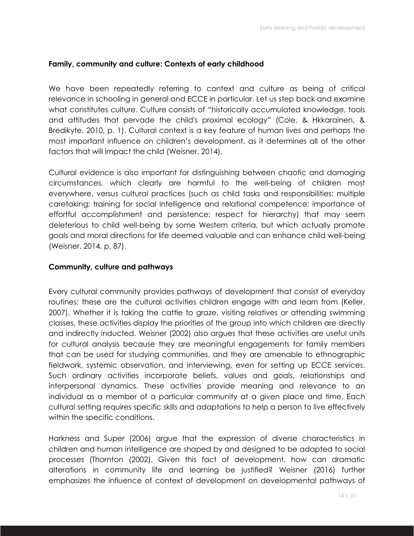## **Family, community and culture: Contexts of early childhood**

We have been repeatedly referring to context and culture as being of critical relevance in schooling in general and ECCE in particular. Let us step back and examine what constitutes culture. Culture consists of "historically accumulated knowledge, tools and attitudes that pervade the child's proximal ecology" (Cole, & Hkkarainen, & Bredikyte, 2010, p. 1). Cultural context is a key feature of human lives and perhaps the most important influence on children's development, as it determines all of the other factors that will impact the child (Weisner, 2014).

Cultural evidence is also important for distinguishing between chaotic and damaging circumstances, which clearly are harmful to the well-being of children most everywhere, versus cultural practices (such as child tasks and responsibilities; multiple caretaking; training for social intelligence and relational competence; importance of effortful accomplishment and persistence; respect for hierarchy) that may seem deleterious to child well-being by some Western criteria, but which actually promote goals and moral directions for life deemed valuable and can enhance child well-being (Weisner, 2014, p. 87).

#### **Community, culture and pathways**

Every cultural community provides pathways of development that consist of everyday routines; these are the cultural activities children engage with and learn from (Keller, 2007). Whether it is taking the cattle to graze, visiting relatives or attending swimming classes, these activities display the priorities of the group into which children are directly and indirectly inducted. Weisner (2002) also argues that these activities are useful units for cultural analysis because they are meaningful engagements for family members that can be used for studying communities, and they are amenable to ethnographic fieldwork, systemic observation, and interviewing, even for setting up ECCE services. Such ordinary activities incorporate beliefs, values and goals, relationships and interpersonal dynamics. These activities provide meaning and relevance to an individual as a member of a particular community at a given place and time. Each cultural setting requires specific skills and adaptations to help a person to live effectively within the specific conditions.

Harkness and Super (2006) argue that the expression of diverse characteristics in children and human intelligence are shaped by and designed to be adapted to social processes (Thornton (2002). Given this fact of development, how can dramatic alterations in community life and learning be justified? Weisner (2016) further emphasizes the influence of context of development on developmental pathways of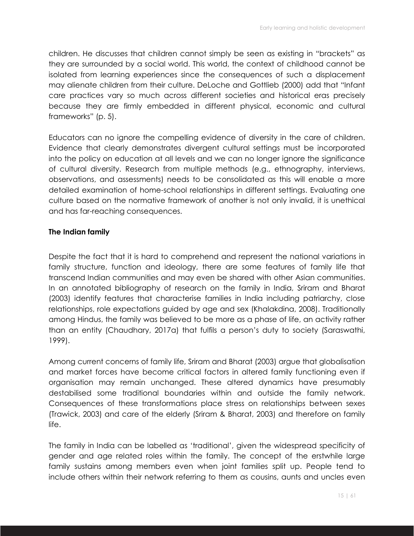children. He discusses that children cannot simply be seen as existing in "brackets" as they are surrounded by a social world. This world, the context of childhood cannot be isolated from learning experiences since the consequences of such a displacement may alienate children from their culture. DeLoche and Gottlieb (2000) add that "Infant care practices vary so much across different societies and historical eras precisely because they are firmly embedded in different physical, economic and cultural frameworks" (p. 5).

Educators can no ignore the compelling evidence of diversity in the care of children. Evidence that clearly demonstrates divergent cultural settings must be incorporated into the policy on education at all levels and we can no longer ignore the significance of cultural diversity. Research from multiple methods (e.g., ethnography, interviews, observations, and assessments) needs to be consolidated as this will enable a more detailed examination of home-school relationships in different settings. Evaluating one culture based on the normative framework of another is not only invalid, it is unethical and has far-reaching consequences.

## **The Indian family**

Despite the fact that it is hard to comprehend and represent the national variations in family structure, function and ideology, there are some features of family life that transcend Indian communities and may even be shared with other Asian communities. In an annotated bibliography of research on the family in India, Sriram and Bharat (2003) identify features that characterise families in India including patriarchy, close relationships, role expectations guided by age and sex (Khalakdina, 2008). Traditionally among Hindus, the family was believed to be more as a phase of life, an activity rather than an entity (Chaudhary, 2017a) that fulfils a person's duty to society (Saraswathi, 1999).

Among current concerns of family life, Sriram and Bharat (2003) argue that globalisation and market forces have become critical factors in altered family functioning even if organisation may remain unchanged. These altered dynamics have presumably destabilised some traditional boundaries within and outside the family network. Consequences of these transformations place stress on relationships between sexes (Trawick, 2003) and care of the elderly (Sriram & Bharat, 2003) and therefore on family life.

The family in India can be labelled as 'traditional', given the widespread specificity of gender and age related roles within the family. The concept of the erstwhile large family sustains among members even when joint families split up. People tend to include others within their network referring to them as cousins, aunts and uncles even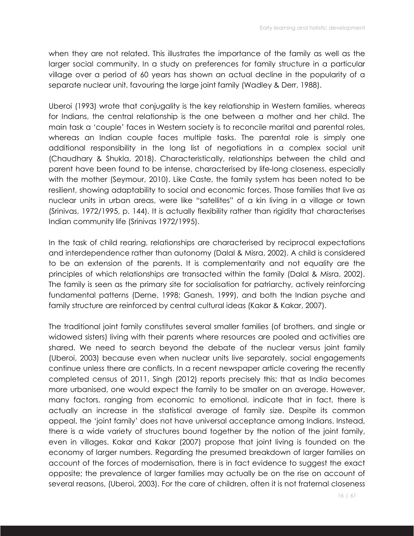when they are not related. This illustrates the importance of the family as well as the larger social community. In a study on preferences for family structure in a particular village over a period of 60 years has shown an actual decline in the popularity of a separate nuclear unit, favouring the large joint family (Wadley & Derr, 1988).

Uberoi (1993) wrote that conjugality is the key relationship in Western families, whereas for Indians, the central relationship is the one between a mother and her child. The main task a 'couple' faces in Western society is to reconcile marital and parental roles, whereas an Indian couple faces multiple tasks. The parental role is simply one additional responsibility in the long list of negotiations in a complex social unit (Chaudhary & Shukla, 2018). Characteristically, relationships between the child and parent have been found to be intense, characterised by life-long closeness, especially with the mother (Seymour, 2010). Like Caste, the family system has been noted to be resilient, showing adaptability to social and economic forces. Those families that live as nuclear units in urban areas, were like "satellites" of a kin living in a village or town (Srinivas, 1972/1995, p. 144). It is actually flexibility rather than rigidity that characterises Indian community life (Srinivas 1972/1995).

In the task of child rearing, relationships are characterised by reciprocal expectations and interdependence rather than autonomy (Dalal & Misra, 2002). A child is considered to be an extension of the parents. It is complementarity and not equality are the principles of which relationships are transacted within the family (Dalal & Misra, 2002). The family is seen as the primary site for socialisation for patriarchy, actively reinforcing fundamental patterns (Derne, 1998; Ganesh, 1999), and both the Indian psyche and family structure are reinforced by central cultural ideas (Kakar & Kakar, 2007).

The traditional joint family constitutes several smaller families (of brothers, and single or widowed sisters) living with their parents where resources are pooled and activities are shared. We need to search beyond the debate of the nuclear versus joint family (Uberoi, 2003) because even when nuclear units live separately, social engagements continue unless there are conflicts. In a recent newspaper article covering the recently completed census of 2011, Singh (2012) reports precisely this; that as India becomes more urbanised, one would expect the family to be smaller on an average. However, many factors, ranging from economic to emotional, indicate that in fact, there is actually an increase in the statistical average of family size. Despite its common appeal, the 'joint family' does not have universal acceptance among Indians. Instead, there is a wide variety of structures bound together by the notion of the joint family, even in villages. Kakar and Kakar (2007) propose that joint living is founded on the economy of larger numbers. Regarding the presumed breakdown of larger families on account of the forces of modernisation, there is in fact evidence to suggest the exact opposite; the prevalence of larger families may actually be on the rise on account of several reasons, (Uberoi, 2003). For the care of children, often it is not fraternal closeness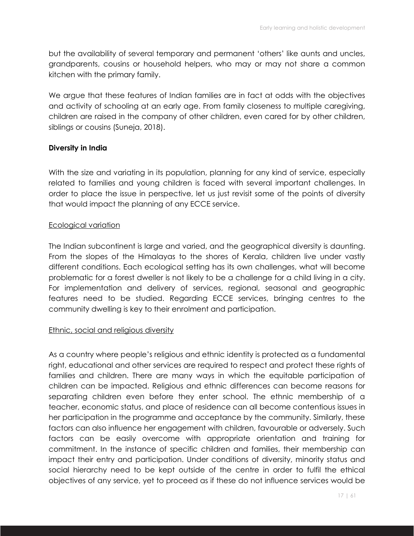but the availability of several temporary and permanent 'others' like aunts and uncles, grandparents, cousins or household helpers, who may or may not share a common kitchen with the primary family.

We argue that these features of Indian families are in fact at odds with the objectives and activity of schooling at an early age. From family closeness to multiple caregiving, children are raised in the company of other children, even cared for by other children, siblings or cousins (Suneja, 2018).

#### **Diversity in India**

With the size and variating in its population, planning for any kind of service, especially related to families and young children is faced with several important challenges. In order to place the issue in perspective, let us just revisit some of the points of diversity that would impact the planning of any ECCE service.

#### Ecological variation

The Indian subcontinent is large and varied, and the geographical diversity is daunting. From the slopes of the Himalayas to the shores of Kerala, children live under vastly different conditions. Each ecological setting has its own challenges, what will become problematic for a forest dweller is not likely to be a challenge for a child living in a city. For implementation and delivery of services, regional, seasonal and geographic features need to be studied. Regarding ECCE services, bringing centres to the community dwelling is key to their enrolment and participation.

#### Ethnic, social and religious diversity

As a country where people's religious and ethnic identity is protected as a fundamental right, educational and other services are required to respect and protect these rights of families and children. There are many ways in which the equitable participation of children can be impacted. Religious and ethnic differences can become reasons for separating children even before they enter school. The ethnic membership of a teacher, economic status, and place of residence can all become contentious issues in her participation in the programme and acceptance by the community. Similarly, these factors can also influence her engagement with children, favourable or adversely. Such factors can be easily overcome with appropriate orientation and training for commitment. In the instance of specific children and families, their membership can impact their entry and participation. Under conditions of diversity, minority status and social hierarchy need to be kept outside of the centre in order to fulfil the ethical objectives of any service, yet to proceed as if these do not influence services would be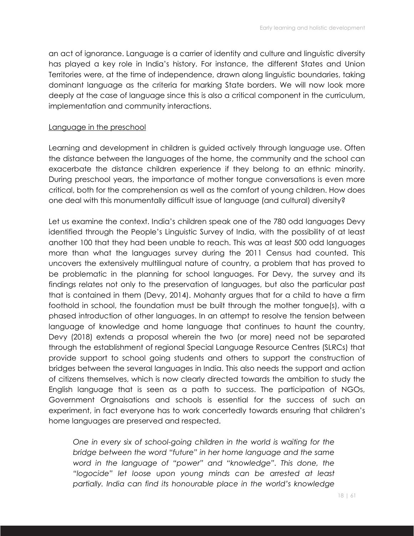an act of ignorance. Language is a carrier of identity and culture and linguistic diversity has played a key role in India's history. For instance, the different States and Union Territories were, at the time of independence, drawn along linguistic boundaries, taking dominant language as the criteria for marking State borders. We will now look more deeply at the case of language since this is also a critical component in the curriculum, implementation and community interactions.

#### Language in the preschool

Learning and development in children is guided actively through language use. Often the distance between the languages of the home, the community and the school can exacerbate the distance children experience if they belong to an ethnic minority. During preschool years, the importance of mother tongue conversations is even more critical, both for the comprehension as well as the comfort of young children. How does one deal with this monumentally difficult issue of language (and cultural) diversity?

Let us examine the context. India's children speak one of the 780 odd languages Devy identified through the People's Linguistic Survey of India, with the possibility of at least another 100 that they had been unable to reach. This was at least 500 odd languages more than what the languages survey during the 2011 Census had counted. This uncovers the extensively multilingual nature of country, a problem that has proved to be problematic in the planning for school languages. For Devy, the survey and its findings relates not only to the preservation of languages, but also the particular past that is contained in them (Devy, 2014). Mohanty argues that for a child to have a firm foothold in school, the foundation must be built through the mother tongue(s), with a phased introduction of other languages. In an attempt to resolve the tension between language of knowledge and home language that continues to haunt the country, Devy (2018) extends a proposal wherein the two (or more) need not be separated through the establishment of regional Special Language Resource Centres (SLRCs) that provide support to school going students and others to support the construction of bridges between the several languages in India. This also needs the support and action of citizens themselves, which is now clearly directed towards the ambition to study the English language that is seen as a path to success. The participation of NGOs, Government Orgnaisations and schools is essential for the success of such an experiment, in fact everyone has to work concertedly towards ensuring that children's home languages are preserved and respected.

*One in every six of school-going children in the world is waiting for the bridge between the word "future" in her home language and the same word in the language of "power" and "knowledge". This done, the "logocide" let loose upon young minds can be arrested at least partially. India can find its honourable place in the world's knowledge*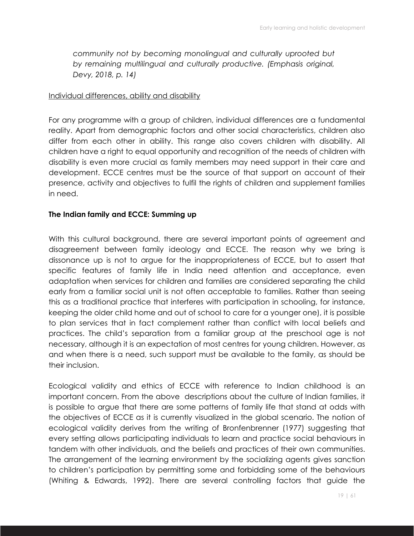*community not by becoming monolingual and culturally uprooted but by remaining multilingual and culturally productive. (Emphasis original, Devy, 2018, p. 14)*

#### Individual differences, ability and disability

For any programme with a group of children, individual differences are a fundamental reality. Apart from demographic factors and other social characteristics, children also differ from each other in ability. This range also covers children with disability. All children have a right to equal opportunity and recognition of the needs of children with disability is even more crucial as family members may need support in their care and development. ECCE centres must be the source of that support on account of their presence, activity and objectives to fulfil the rights of children and supplement families in need.

#### **The Indian family and ECCE: Summing up**

With this cultural background, there are several important points of agreement and disagreement between family ideology and ECCE. The reason why we bring is dissonance up is not to argue for the inappropriateness of ECCE, but to assert that specific features of family life in India need attention and acceptance, even adaptation when services for children and families are considered separating the child early from a familiar social unit is not often acceptable to families. Rather than seeing this as a traditional practice that interferes with participation in schooling, for instance, keeping the older child home and out of school to care for a younger one), it is possible to plan services that in fact complement rather than conflict with local beliefs and practices. The child's separation from a familiar group at the preschool age is not necessary, although it is an expectation of most centres for young children. However, as and when there is a need, such support must be available to the family, as should be their inclusion.

Ecological validity and ethics of ECCE with reference to Indian childhood is an important concern. From the above descriptions about the culture of Indian families, it is possible to argue that there are some patterns of family life that stand at odds with the objectives of ECCE as it is currently visualized in the global scenario. The notion of ecological validity derives from the writing of Bronfenbrenner (1977) suggesting that every setting allows participating individuals to learn and practice social behaviours in tandem with other individuals, and the beliefs and practices of their own communities. The arrangement of the learning environment by the socializing agents gives sanction to children's participation by permitting some and forbidding some of the behaviours (Whiting & Edwards, 1992). There are several controlling factors that guide the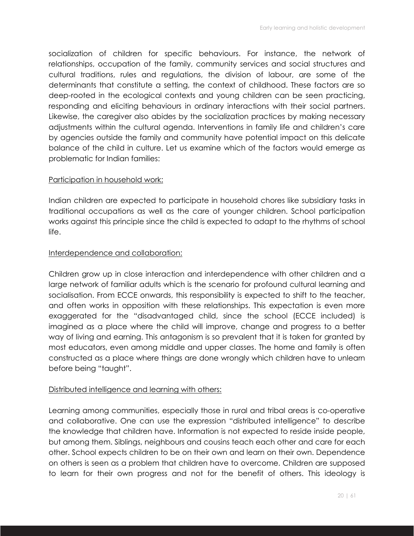socialization of children for specific behaviours. For instance, the network of relationships, occupation of the family, community services and social structures and cultural traditions, rules and regulations, the division of labour, are some of the determinants that constitute a setting, the context of childhood. These factors are so deep-rooted in the ecological contexts and young children can be seen practicing, responding and eliciting behaviours in ordinary interactions with their social partners. Likewise, the caregiver also abides by the socialization practices by making necessary adjustments within the cultural agenda. Interventions in family life and children's care by agencies outside the family and community have potential impact on this delicate balance of the child in culture. Let us examine which of the factors would emerge as problematic for Indian families:

## Participation in household work:

Indian children are expected to participate in household chores like subsidiary tasks in traditional occupations as well as the care of younger children. School participation works against this principle since the child is expected to adapt to the rhythms of school life.

## Interdependence and collaboration:

Children grow up in close interaction and interdependence with other children and a large network of familiar adults which is the scenario for profound cultural learning and socialisation. From ECCE onwards, this responsibility is expected to shift to the teacher, and often works in opposition with these relationships. This expectation is even more exaggerated for the "disadvantaged child, since the school (ECCE included) is imagined as a place where the child will improve, change and progress to a better way of living and earning. This antagonism is so prevalent that it is taken for granted by most educators, even among middle and upper classes. The home and family is often constructed as a place where things are done wrongly which children have to unlearn before being "taught".

## Distributed intelligence and learning with others:

Learning among communities, especially those in rural and tribal areas is co-operative and collaborative. One can use the expression "distributed intelligence" to describe the knowledge that children have. Information is not expected to reside inside people, but among them. Siblings, neighbours and cousins teach each other and care for each other. School expects children to be on their own and learn on their own. Dependence on others is seen as a problem that children have to overcome. Children are supposed to learn for their own progress and not for the benefit of others. This ideology is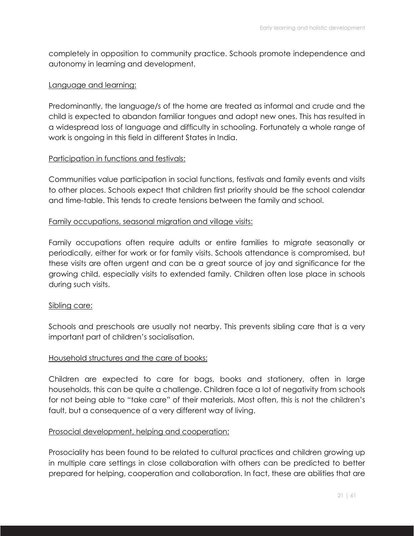completely in opposition to community practice. Schools promote independence and autonomy in learning and development.

## Language and learning:

Predominantly, the language/s of the home are treated as informal and crude and the child is expected to abandon familiar tongues and adopt new ones. This has resulted in a widespread loss of language and difficulty in schooling. Fortunately a whole range of work is ongoing in this field in different States in India.

## Participation in functions and festivals:

Communities value participation in social functions, festivals and family events and visits to other places. Schools expect that children first priority should be the school calendar and time-table. This tends to create tensions between the family and school.

## Family occupations, seasonal migration and village visits:

Family occupations often require adults or entire families to migrate seasonally or periodically, either for work or for family visits. Schools attendance is compromised, but these visits are often urgent and can be a great source of joy and significance for the growing child, especially visits to extended family. Children often lose place in schools during such visits.

#### Sibling care:

Schools and preschools are usually not nearby. This prevents sibling care that is a very important part of children's socialisation.

#### Household structures and the care of books:

Children are expected to care for bags, books and stationery, often in large households, this can be quite a challenge. Children face a lot of negativity from schools for not being able to "take care" of their materials. Most often, this is not the children's fault, but a consequence of a very different way of living.

#### Prosocial development, helping and cooperation:

Prosociality has been found to be related to cultural practices and children growing up in multiple care settings in close collaboration with others can be predicted to better prepared for helping, cooperation and collaboration. In fact, these are abilities that are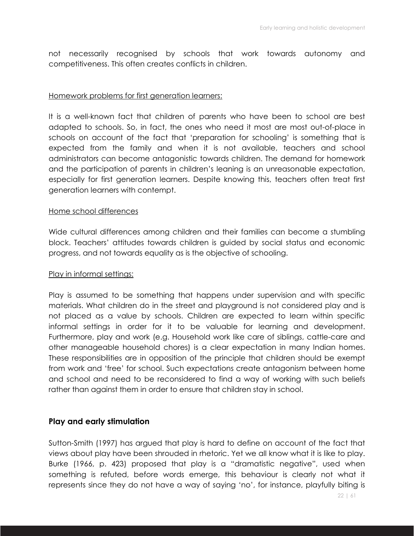not necessarily recognised by schools that work towards autonomy and competitiveness. This often creates conflicts in children.

#### Homework problems for first generation learners:

It is a well-known fact that children of parents who have been to school are best adapted to schools. So, in fact, the ones who need it most are most out-of-place in schools on account of the fact that 'preparation for schooling' is something that is expected from the family and when it is not available, teachers and school administrators can become antagonistic towards children. The demand for homework and the participation of parents in children's leaning is an unreasonable expectation, especially for first generation learners. Despite knowing this, teachers often treat first generation learners with contempt.

#### Home school differences

Wide cultural differences among children and their families can become a stumbling block. Teachers' attitudes towards children is guided by social status and economic progress, and not towards equality as is the objective of schooling.

#### Play in informal settings:

Play is assumed to be something that happens under supervision and with specific materials. What children do in the street and playground is not considered play and is not placed as a value by schools. Children are expected to learn within specific informal settings in order for it to be valuable for learning and development. Furthermore, play and work (e.g. Household work like care of siblings, cattle-care and other manageable household chores) is a clear expectation in many Indian homes. These responsibilities are in opposition of the principle that children should be exempt from work and 'free' for school. Such expectations create antagonism between home and school and need to be reconsidered to find a way of working with such beliefs rather than against them in order to ensure that children stay in school.

## **Play and early stimulation**

Sutton-Smith (1997) has argued that play is hard to define on account of the fact that views about play have been shrouded in rhetoric. Yet we all know what it is like to play. Burke (1966, p. 423) proposed that play is a "dramatistic negative", used when something is refuted, before words emerge, this behaviour is clearly not what it represents since they do not have a way of saying 'no', for instance, playfully biting is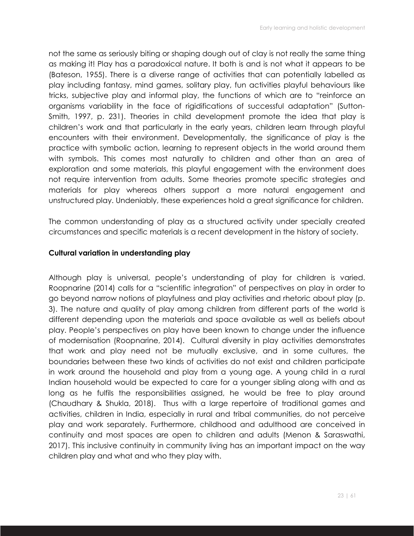not the same as seriously biting or shaping dough out of clay is not really the same thing as making it! Play has a paradoxical nature. It both is and is not what it appears to be (Bateson, 1955). There is a diverse range of activities that can potentially labelled as play including fantasy, mind games, solitary play, fun activities playful behaviours like tricks, subjective play and informal play, the functions of which are to "reinforce an organisms variability in the face of rigidifications of successful adaptation" (Sutton-Smith, 1997, p. 231). Theories in child development promote the idea that play is children's work and that particularly in the early years, children learn through playful encounters with their environment. Developmentally, the significance of play is the practice with symbolic action, learning to represent objects in the world around them with symbols. This comes most naturally to children and other than an area of exploration and some materials, this playful engagement with the environment does not require intervention from adults. Some theories promote specific strategies and materials for play whereas others support a more natural engagement and unstructured play. Undeniably, these experiences hold a great significance for children.

The common understanding of play as a structured activity under specially created circumstances and specific materials is a recent development in the history of society.

#### **Cultural variation in understanding play**

Although play is universal, people's understanding of play for children is varied. Roopnarine (2014) calls for a "scientific integration" of perspectives on play in order to go beyond narrow notions of playfulness and play activities and rhetoric about play (p. 3). The nature and quality of play among children from different parts of the world is different depending upon the materials and space available as well as beliefs about play. People's perspectives on play have been known to change under the influence of modernisation (Roopnarine, 2014). Cultural diversity in play activities demonstrates that work and play need not be mutually exclusive, and in some cultures, the boundaries between these two kinds of activities do not exist and children participate in work around the household and play from a young age. A young child in a rural Indian household would be expected to care for a younger sibling along with and as long as he fulfils the responsibilities assigned, he would be free to play around (Chaudhary & Shukla, 2018). Thus with a large repertoire of traditional games and activities, children in India, especially in rural and tribal communities, do not perceive play and work separately. Furthermore, childhood and adulthood are conceived in continuity and most spaces are open to children and adults (Menon & Saraswathi, 2017). This inclusive continuity in community living has an important impact on the way children play and what and who they play with.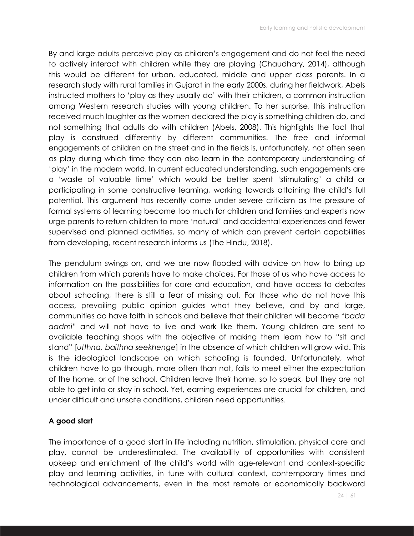By and large adults perceive play as children's engagement and do not feel the need to actively interact with children while they are playing (Chaudhary, 2014), although this would be different for urban, educated, middle and upper class parents. In a research study with rural families in Gujarat in the early 2000s, during her fieldwork, Abels instructed mothers to 'play as they usually do' with their children, a common instruction among Western research studies with young children. To her surprise, this instruction received much laughter as the women declared the play is something children do, and not something that adults do with children (Abels, 2008). This highlights the fact that play is construed differently by different communities. The free and informal engagements of children on the street and in the fields is, unfortunately, not often seen as play during which time they can also learn in the contemporary understanding of 'play' in the modern world. In current educated understanding, such engagements are a 'waste of valuable time' which would be better spent 'stimulating' a child or participating in some constructive learning, working towards attaining the child's full potential. This argument has recently come under severe criticism as the pressure of formal systems of learning become too much for children and families and experts now urge parents to return children to more 'natural' and accidental experiences and fewer supervised and planned activities, so many of which can prevent certain capabilities from developing, recent research informs us (The Hindu, 2018).

The pendulum swings on, and we are now flooded with advice on how to bring up children from which parents have to make choices. For those of us who have access to information on the possibilities for care and education, and have access to debates about schooling, there is still a fear of missing out. For those who do not have this access, prevailing public opinion guides what they believe, and by and large, communities do have faith in schools and believe that their children will become "*bada aadmi*" and will not have to live and work like them. Young children are sent to available teaching shops with the objective of making them learn how to "sit and stand" [*utthna, baithna seekhenge*] in the absence of which children will grow wild. This is the ideological landscape on which schooling is founded. Unfortunately, what children have to go through, more often than not, fails to meet either the expectation of the home, or of the school. Children leave their home, so to speak, but they are not able to get into or stay in school. Yet, earning experiences are crucial for children, and under difficult and unsafe conditions, children need opportunities.

## **A good start**

The importance of a good start in life including nutrition, stimulation, physical care and play, cannot be underestimated. The availability of opportunities with consistent upkeep and enrichment of the child's world with age-relevant and context-specific play and learning activities, in tune with cultural context, contemporary times and technological advancements, even in the most remote or economically backward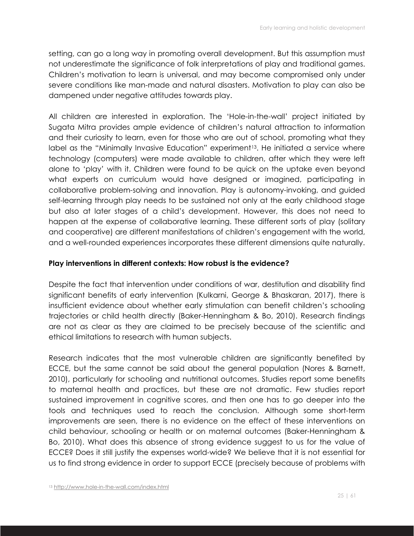setting, can go a long way in promoting overall development. But this assumption must not underestimate the significance of folk interpretations of play and traditional games. Children's motivation to learn is universal, and may become compromised only under severe conditions like man-made and natural disasters. Motivation to play can also be dampened under negative attitudes towards play.

All children are interested in exploration. The 'Hole-in-the-wall' project initiated by Sugata Mitra provides ample evidence of children's natural attraction to information and their curiosity to learn, even for those who are out of school, promoting what they label as the "Minimally Invasive Education" experiment<sup>13</sup>. He initiated a service where technology (computers) were made available to children, after which they were left alone to 'play' with it. Children were found to be quick on the uptake even beyond what experts on curriculum would have designed or imagined, participating in collaborative problem-solving and innovation. Play is autonomy-invoking, and guided self-learning through play needs to be sustained not only at the early childhood stage but also at later stages of a child's development. However, this does not need to happen at the expense of collaborative learning. These different sorts of play (solitary and cooperative) are different manifestations of children's engagement with the world, and a well-rounded experiences incorporates these different dimensions quite naturally.

#### **Play interventions in different contexts: How robust is the evidence?**

Despite the fact that intervention under conditions of war, destitution and disability find significant benefits of early intervention (Kulkarni, George & Bhaskaran, 2017), there is insufficient evidence about whether early stimulation can benefit children's schooling trajectories or child health directly (Baker-Henningham & Bo, 2010). Research findings are not as clear as they are claimed to be precisely because of the scientific and ethical limitations to research with human subjects.

Research indicates that the most vulnerable children are significantly benefited by ECCE, but the same cannot be said about the general population (Nores & Barnett, 2010), particularly for schooling and nutritional outcomes. Studies report some benefits to maternal health and practices, but these are not dramatic. Few studies report sustained improvement in cognitive scores, and then one has to go deeper into the tools and techniques used to reach the conclusion. Although some short-term improvements are seen, there is no evidence on the effect of these interventions on child behaviour, schooling or health or on maternal outcomes (Baker-Henningham & Bo, 2010). What does this absence of strong evidence suggest to us for the value of ECCE? Does it still justify the expenses world-wide? We believe that it is not essential for us to find strong evidence in order to support ECCE (precisely because of problems with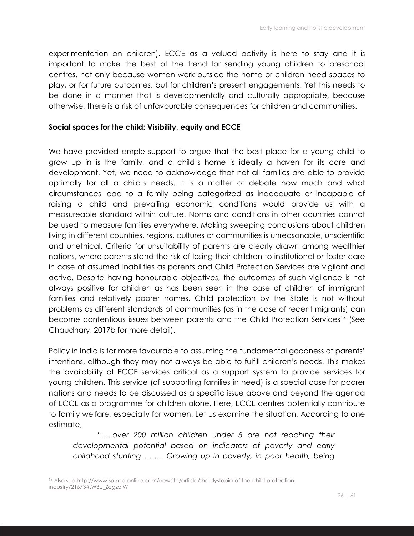experimentation on children). ECCE as a valued activity is here to stay and it is important to make the best of the trend for sending young children to preschool centres, not only because women work outside the home or children need spaces to play, or for future outcomes, but for children's present engagements. Yet this needs to be done in a manner that is developmentally and culturally appropriate, because otherwise, there is a risk of unfavourable consequences for children and communities.

#### **Social spaces for the child: Visibility, equity and ECCE**

We have provided ample support to argue that the best place for a young child to grow up in is the family, and a child's home is ideally a haven for its care and development. Yet, we need to acknowledge that not all families are able to provide optimally for all a child's needs. It is a matter of debate how much and what circumstances lead to a family being categorized as inadequate or incapable of raising a child and prevailing economic conditions would provide us with a measureable standard within culture. Norms and conditions in other countries cannot be used to measure families everywhere. Making sweeping conclusions about children living in different countries, regions, cultures or communities is unreasonable, unscientific and unethical. Criteria for unsuitability of parents are clearly drawn among wealthier nations, where parents stand the risk of losing their children to institutional or foster care in case of assumed inabilities as parents and Child Protection Services are vigilant and active. Despite having honourable objectives, the outcomes of such vigilance is not always positive for children as has been seen in the case of children of immigrant families and relatively poorer homes. Child protection by the State is not without problems as different standards of communities (as in the case of recent migrants) can become contentious issues between parents and the Child Protection Services<sup>14</sup> (See Chaudhary, 2017b for more detail).

Policy in India is far more favourable to assuming the fundamental goodness of parents' intentions, although they may not always be able to fulfill children's needs. This makes the availability of ECCE services critical as a support system to provide services for young children. This service (of supporting families in need) is a special case for poorer nations and needs to be discussed as a specific issue above and beyond the agenda of ECCE as a programme for children alone. Here, ECCE centres potentially contribute to family welfare, especially for women. Let us examine the situation. According to one estimate,

"....over 200 million children under 5 are not reaching their *developmental potential based on indicators of poverty and early childhood stunting …….. Growing up in poverty, in poor health, being*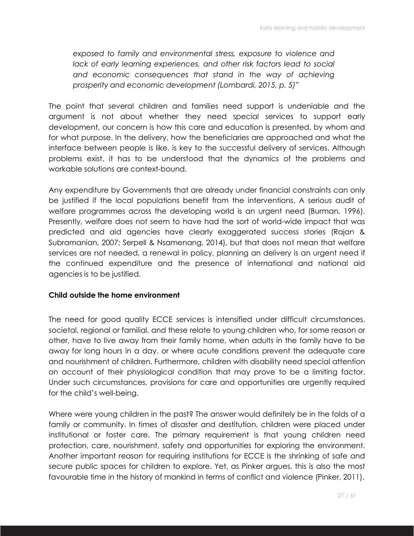*exposed to family and environmental stress, exposure to violence and lack of early learning experiences, and other risk factors lead to social and economic consequences that stand in the way of achieving prosperity and economic development (Lombardi, 2015, p. 5)"* 

The point that several children and families need support is undeniable and the argument is not about whether they need special services to support early development, our concern is how this care and education is presented, by whom and for what purpose. In the delivery, how the beneficiaries are approached and what the interface between people is like, is key to the successful delivery of services. Although problems exist, it has to be understood that the dynamics of the problems and workable solutions are context-bound.

Any expenditure by Governments that are already under financial constraints can only be justified if the local populations benefit from the interventions. A serious audit of welfare programmes across the developing world is an urgent need (Burman, 1996). Presently, welfare does not seem to have had the sort of world-wide impact that was predicted and aid agencies have clearly exaggerated success stories (Rajan & Subramanian, 2007; Serpell & Nsamenang, 2014), but that does not mean that welfare services are not needed, a renewal in policy, planning an delivery is an urgent need if the continued expenditure and the presence of international and national aid agencies is to be justified.

#### **Child outside the home environment**

The need for good quality ECCE services is intensified under difficult circumstances, societal, regional or familial, and these relate to young children who, for some reason or other, have to live away from their family home, when adults in the family have to be away for long hours in a day, or where acute conditions prevent the adequate care and nourishment of children. Furthermore, children with disability need special attention on account of their physiological condition that may prove to be a limiting factor. Under such circumstances, provisions for care and opportunities are urgently required for the child's well-being.

Where were young children in the past? The answer would definitely be in the folds of a family or community. In times of disaster and destitution, children were placed under institutional or foster care. The primary requirement is that young children need protection, care, nourishment, safety and opportunities for exploring the environment. Another important reason for requiring institutions for ECCE is the shrinking of safe and secure public spaces for children to explore. Yet, as Pinker argues, this is also the most favourable time in the history of mankind in terms of conflict and violence (Pinker, 2011).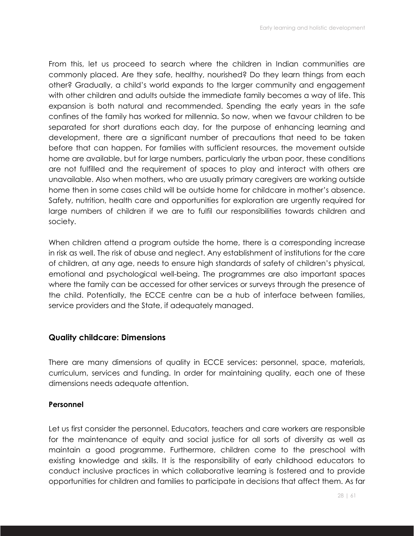From this, let us proceed to search where the children in Indian communities are commonly placed. Are they safe, healthy, nourished? Do they learn things from each other? Gradually, a child's world expands to the larger community and engagement with other children and adults outside the immediate family becomes a way of life. This expansion is both natural and recommended. Spending the early years in the safe confines of the family has worked for millennia. So now, when we favour children to be separated for short durations each day, for the purpose of enhancing learning and development, there are a significant number of precautions that need to be taken before that can happen. For families with sufficient resources, the movement outside home are available, but for large numbers, particularly the urban poor, these conditions are not fulfilled and the requirement of spaces to play and interact with others are unavailable. Also when mothers, who are usually primary caregivers are working outside home then in some cases child will be outside home for childcare in mother's absence. Safety, nutrition, health care and opportunities for exploration are urgently required for large numbers of children if we are to fulfil our responsibilities towards children and society.

When children attend a program outside the home, there is a corresponding increase in risk as well. The risk of abuse and neglect. Any establishment of institutions for the care of children, at any age, needs to ensure high standards of safety of children's physical, emotional and psychological well-being. The programmes are also important spaces where the family can be accessed for other services or surveys through the presence of the child. Potentially, the ECCE centre can be a hub of interface between families, service providers and the State, if adequately managed.

#### **Quality childcare: Dimensions**

There are many dimensions of quality in ECCE services: personnel, space, materials, curriculum, services and funding. In order for maintaining quality, each one of these dimensions needs adequate attention.

#### **Personnel**

Let us first consider the personnel. Educators, teachers and care workers are responsible for the maintenance of equity and social justice for all sorts of diversity as well as maintain a good programme. Furthermore, children come to the preschool with existing knowledge and skills. It is the responsibility of early childhood educators to conduct inclusive practices in which collaborative learning is fostered and to provide opportunities for children and families to participate in decisions that affect them. As far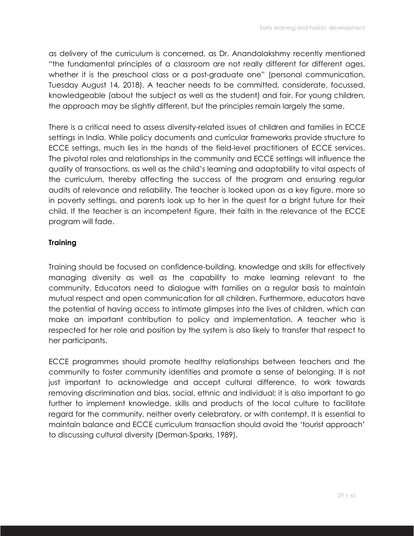as delivery of the curriculum is concerned, as Dr. Anandalakshmy recently mentioned "the fundamental principles of a classroom are not really different for different ages, whether it is the preschool class or a post-graduate one" (personal communication, Tuesday August 14, 2018). A teacher needs to be committed, considerate, focussed, knowledgeable (about the subject as well as the student) and fair. For young children, the approach may be slightly different, but the principles remain largely the same.

There is a critical need to assess diversity-related issues of children and families in ECCE settings in India. While policy documents and curricular frameworks provide structure to ECCE settings, much lies in the hands of the field-level practitioners of ECCE services. The pivotal roles and relationships in the community and ECCE settings will influence the quality of transactions, as well as the child's learning and adaptability to vital aspects of the curriculum, thereby affecting the success of the program and ensuring regular audits of relevance and reliability. The teacher is looked upon as a key figure, more so in poverty settings, and parents look up to her in the quest for a bright future for their child. If the teacher is an incompetent figure, their faith in the relevance of the ECCE program will fade.

#### **Training**

Training should be focused on confidence-building, knowledge and skills for effectively managing diversity as well as the capability to make learning relevant to the community. Educators need to dialogue with families on a regular basis to maintain mutual respect and open communication for all children. Furthermore, educators have the potential of having access to intimate glimpses into the lives of children, which can make an important contribution to policy and implementation. A teacher who is respected for her role and position by the system is also likely to transfer that respect to her participants.

ECCE programmes should promote healthy relationships between teachers and the community to foster community identities and promote a sense of belonging. It is not just important to acknowledge and accept cultural difference, to work towards removing discrimination and bias, social, ethnic and individual; it is also important to go further to implement knowledge, skills and products of the local culture to facilitate regard for the community, neither overly celebratory, or with contempt. It is essential to maintain balance and ECCE curriculum transaction should avoid the 'tourist approach' to discussing cultural diversity (Derman-Sparks, 1989).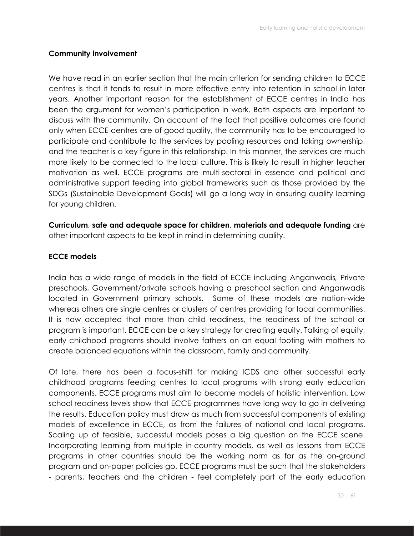#### **Community involvement**

We have read in an earlier section that the main criterion for sending children to ECCE centres is that it tends to result in more effective entry into retention in school in later years. Another important reason for the establishment of ECCE centres in India has been the argument for women's participation in work. Both aspects are important to discuss with the community. On account of the fact that positive outcomes are found only when ECCE centres are of good quality, the community has to be encouraged to participate and contribute to the services by pooling resources and taking ownership, and the teacher is a key figure in this relationship. In this manner, the services are much more likely to be connected to the local culture. This is likely to result in higher teacher motivation as well. ECCE programs are multi-sectoral in essence and political and administrative support feeding into global frameworks such as those provided by the SDGs (Sustainable Development Goals) will go a long way in ensuring quality learning for young children.

**Curriculum**, **safe and adequate space for children**, **materials and adequate funding** are other important aspects to be kept in mind in determining quality.

#### **ECCE models**

India has a wide range of models in the field of ECCE including Anganwadis*,* Private preschools, Government/private schools having a preschool section and Anganwadis located in Government primary schools. Some of these models are nation-wide whereas others are single centres or clusters of centres providing for local communities. It is now accepted that more than child readiness, the readiness of the school or program is important. ECCE can be a key strategy for creating equity. Talking of equity, early childhood programs should involve fathers on an equal footing with mothers to create balanced equations within the classroom, family and community.

Of late, there has been a focus-shift for making ICDS and other successful early childhood programs feeding centres to local programs with strong early education components. ECCE programs must aim to become models of holistic intervention. Low school readiness levels show that ECCE programmes have long way to go in delivering the results. Education policy must draw as much from successful components of existing models of excellence in ECCE, as from the failures of national and local programs. Scaling up of feasible, successful models poses a big question on the ECCE scene. Incorporating learning from multiple in-country models, as well as lessons from ECCE programs in other countries should be the working norm as far as the on-ground program and on-paper policies go. ECCE programs must be such that the stakeholders - parents, teachers and the children - feel completely part of the early education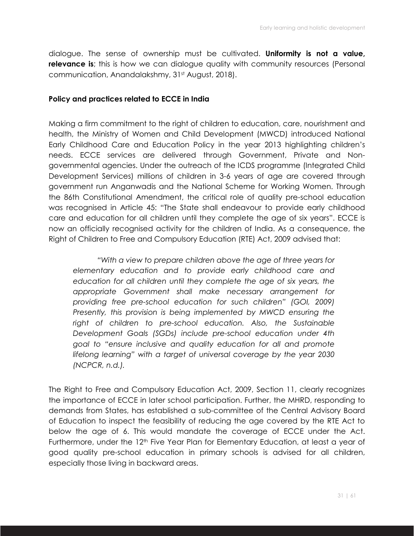dialogue. The sense of ownership must be cultivated. **Uniformity is not a value, relevance is**; this is how we can dialogue quality with community resources (Personal communication, Anandalakshmy, 31<sup>st</sup> August, 2018).

#### **Policy and practices related to ECCE in India**

Making a firm commitment to the right of children to education, care, nourishment and health, the Ministry of Women and Child Development (MWCD) introduced National Early Childhood Care and Education Policy in the year 2013 highlighting children's needs. ECCE services are delivered through Government, Private and Nongovernmental agencies. Under the outreach of the ICDS programme (Integrated Child Development Services) millions of children in 3-6 years of age are covered through government run Anganwadis and the National Scheme for Working Women. Through the 86th Constitutional Amendment, the critical role of quality pre-school education was recognised in Article 45: "The State shall endeavour to provide early childhood care and education for all children until they complete the age of six years". ECCE is now an officially recognised activity for the children of India. As a consequence, the Right of Children to Free and Compulsory Education (RTE) Act, 2009 advised that:

*"With a view to prepare children above the age of three years for elementary education and to provide early childhood care and education for all children until they complete the age of six years, the appropriate Government shall make necessary arrangement for providing free pre-school education for such children" (GOI, 2009) Presently, this provision is being implemented by MWCD ensuring the right of children to pre-school education. Also, the Sustainable Development Goals (SGDs) include pre-school education under 4th goal to "ensure inclusive and quality education for all and promote lifelong learning" with a target of universal coverage by the year 2030 (NCPCR, n.d.).*

The Right to Free and Compulsory Education Act, 2009, Section 11, clearly recognizes the importance of ECCE in later school participation. Further, the MHRD, responding to demands from States, has established a sub-committee of the Central Advisory Board of Education to inspect the feasibility of reducing the age covered by the RTE Act to below the age of 6. This would mandate the coverage of ECCE under the Act. Furthermore, under the 12<sup>th</sup> Five Year Plan for Elementary Education, at least a year of good quality pre-school education in primary schools is advised for all children, especially those living in backward areas.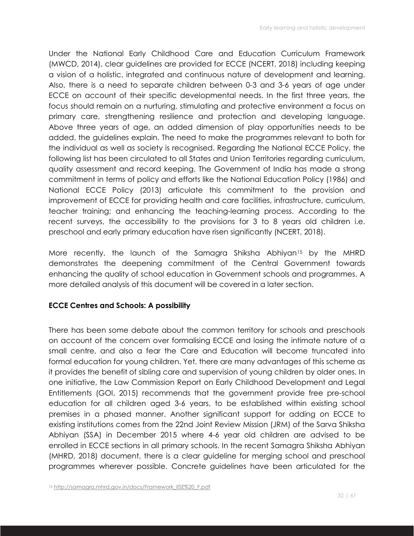Under the National Early Childhood Care and Education Curriculum Framework (MWCD, 2014), clear guidelines are provided for ECCE (NCERT, 2018) including keeping a vision of a holistic, integrated and continuous nature of development and learning. Also, there is a need to separate children between 0-3 and 3-6 years of age under ECCE on account of their specific developmental needs. In the first three years, the focus should remain on a nurturing, stimulating and protective environment a focus on primary care, strengthening resilience and protection and developing language. Above three years of age, an added dimension of play opportunities needs to be added, the guidelines explain. The need to make the programmes relevant to both for the individual as well as society is recognised. Regarding the National ECCE Policy, the following list has been circulated to all States and Union Territories regarding curriculum, quality assessment and record keeping. The Government of India has made a strong commitment in terms of policy and efforts like the National Education Policy (1986) and National ECCE Policy (2013) articulate this commitment to the provision and improvement of ECCE for providing health and care facilities, infrastructure, curriculum, teacher training; and enhancing the teaching-learning process. According to the recent surveys, the accessibility to the provisions for 3 to 8 years old children i.e. preschool and early primary education have risen significantly (NCERT, 2018).

More recently, the launch of the Samagra Shiksha Abhiyan<sup>15</sup> by the MHRD demonstrates the deepening commitment of the Central Government towards enhancing the quality of school education in Government schools and programmes. A more detailed analysis of this document will be covered in a later section.

## **ECCE Centres and Schools: A possibility**

There has been some debate about the common territory for schools and preschools on account of the concern over formalising ECCE and losing the intimate nature of a small centre, and also a fear the Care and Education will become truncated into formal education for young children. Yet, there are many advantages of this scheme as it provides the benefit of sibling care and supervision of young children by older ones. In one initiative, the Law Commission Report on Early Childhood Development and Legal Entitlements (GOI, 2015) recommends that the government provide free pre-school education for all children aged 3-6 years, to be established within existing school premises in a phased manner. Another significant support for adding on ECCE to existing institutions comes from the 22nd Joint Review Mission (JRM) of the Sarva Shiksha Abhiyan (SSA) in December 2015 where 4-6 year old children are advised to be enrolled in ECCE sections in all primary schools. In the recent Samagra Shiksha Abhiyan (MHRD, 2018) document, there is a clear guideline for merging school and preschool programmes wherever possible. Concrete guidelines have been articulated for the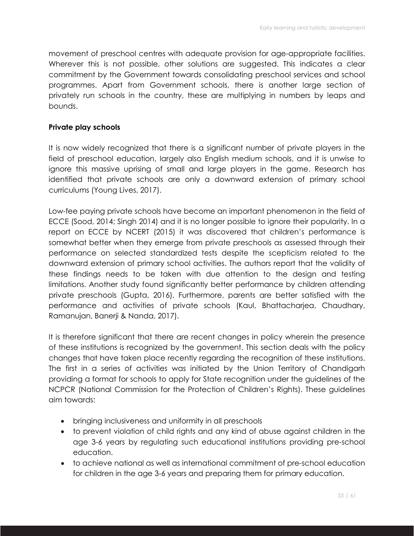movement of preschool centres with adequate provision for age-appropriate facilities. Wherever this is not possible, other solutions are suggested. This indicates a clear commitment by the Government towards consolidating preschool services and school programmes. Apart from Government schools, there is another large section of privately run schools in the country, these are multiplying in numbers by leaps and bounds.

## **Private play schools**

It is now widely recognized that there is a significant number of private players in the field of preschool education, largely also English medium schools, and it is unwise to ignore this massive uprising of small and large players in the game. Research has identified that private schools are only a downward extension of primary school curriculums (Young Lives, 2017).

Low-fee paying private schools have become an important phenomenon in the field of ECCE (Sood, 2014; Singh 2014) and it is no longer possible to ignore their popularity. In a report on ECCE by NCERT (2015) it was discovered that children's performance is somewhat better when they emerge from private preschools as assessed through their performance on selected standardized tests despite the scepticism related to the downward extension of primary school activities. The authors report that the validity of these findings needs to be taken with due attention to the design and testing limitations. Another study found significantly better performance by children attending private preschools (Gupta, 2016). Furthermore, parents are better satisfied with the performance and activities of private schools (Kaul, Bhattacharjea, Chaudhary, Ramanujan, Banerji & Nanda, 2017).

It is therefore significant that there are recent changes in policy wherein the presence of these institutions is recognized by the government. This section deals with the policy changes that have taken place recently regarding the recognition of these institutions. The first in a series of activities was initiated by the Union Territory of Chandigarh providing a format for schools to apply for State recognition under the guidelines of the NCPCR (National Commission for the Protection of Children's Rights). These guidelines aim towards:

- bringing inclusiveness and uniformity in all preschools
- to prevent violation of child rights and any kind of abuse against children in the age 3-6 years by regulating such educational institutions providing pre-school education.
- to achieve national as well as international commitment of pre-school education for children in the age 3-6 years and preparing them for primary education.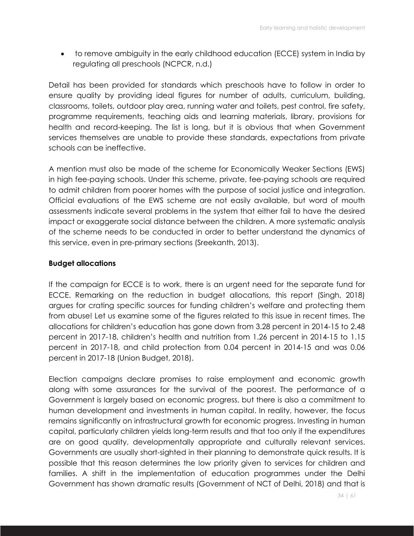• to remove ambiguity in the early childhood education (ECCE) system in India by regulating all preschools (NCPCR, n.d.)

Detail has been provided for standards which preschools have to follow in order to ensure quality by providing ideal figures for number of adults, curriculum, building, classrooms, toilets, outdoor play area, running water and toilets, pest control, fire safety, programme requirements, teaching aids and learning materials, library, provisions for health and record-keeping. The list is long, but it is obvious that when Government services themselves are unable to provide these standards, expectations from private schools can be ineffective.

A mention must also be made of the scheme for Economically Weaker Sections (EWS) in high fee-paying schools. Under this scheme, private, fee-paying schools are required to admit children from poorer homes with the purpose of social justice and integration. Official evaluations of the EWS scheme are not easily available, but word of mouth assessments indicate several problems in the system that either fail to have the desired impact or exaggerate social distance between the children. A more systematic analysis of the scheme needs to be conducted in order to better understand the dynamics of this service, even in pre-primary sections (Sreekanth, 2013).

#### **Budget allocations**

If the campaign for ECCE is to work, there is an urgent need for the separate fund for ECCE. Remarking on the reduction in budget allocations, this report (Singh, 2018) argues for crating specific sources for funding children's welfare and protecting them from abuse! Let us examine some of the figures related to this issue in recent times. The allocations for children's education has gone down from 3.28 percent in 2014-15 to 2.48 percent in 2017-18, children's health and nutrition from 1.26 percent in 2014-15 to 1.15 percent in 2017-18, and child protection from 0.04 percent in 2014-15 and was 0.06 percent in 2017-18 (Union Budget, 2018).

Election campaigns declare promises to raise employment and economic growth along with some assurances for the survival of the poorest. The performance of a Government is largely based on economic progress, but there is also a commitment to human development and investments in human capital. In reality, however, the focus remains significantly on infrastructural growth for economic progress. Investing in human capital, particularly children yields long-term results and that too only if the expenditures are on good quality, developmentally appropriate and culturally relevant services. Governments are usually short-sighted in their planning to demonstrate quick results. It is possible that this reason determines the low priority given to services for children and families. A shift in the implementation of education programmes under the Delhi Government has shown dramatic results (Government of NCT of Delhi, 2018) and that is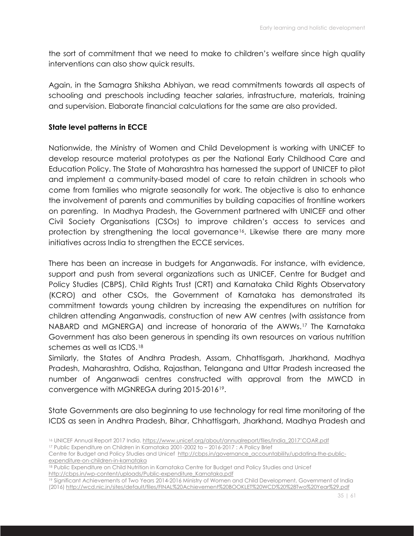the sort of commitment that we need to make to children's welfare since high quality interventions can also show quick results.

Again, in the Samagra Shiksha Abhiyan, we read commitments towards all aspects of schooling and preschools including teacher salaries, infrastructure, materials, training and supervision. Elaborate financial calculations for the same are also provided.

#### **State level patterns in ECCE**

Nationwide, the Ministry of Women and Child Development is working with UNICEF to develop resource material prototypes as per the National Early Childhood Care and Education Policy. The State of Maharashtra has harnessed the support of UNICEF to pilot and implement a community-based model of care to retain children in schools who come from families who migrate seasonally for work. The objective is also to enhance the involvement of parents and communities by building capacities of frontline workers on parenting. In Madhya Pradesh, the Government partnered with UNICEF and other Civil Society Organisations (CSOs) to improve children's access to services and protection by strengthening the local governance16. Likewise there are many more initiatives across India to strengthen the ECCE services.

There has been an increase in budgets for Anganwadis. For instance, with evidence, support and push from several organizations such as UNICEF, Centre for Budget and Policy Studies (CBPS), Child Rights Trust (CRT) and Karnataka Child Rights Observatory (KCRO) and other CSOs, the Government of Karnataka has demonstrated its commitment towards young children by increasing the expenditures on nutrition for children attending Anganwadis, construction of new AW centres (with assistance from NABARD and MGNERGA) and increase of honoraria of the AWWs.17 The Karnataka Government has also been generous in spending its own resources on various nutrition schemes as well as ICDS.<sup>18</sup>

Similarly, the States of Andhra Pradesh, Assam, Chhattisgarh, Jharkhand, Madhya Pradesh, Maharashtra, Odisha, Rajasthan, Telangana and Uttar Pradesh increased the number of Anganwadi centres constructed with approval from the MWCD in convergence with MGNREGA during 2015-201619.

State Governments are also beginning to use technology for real time monitoring of the ICDS as seen in Andhra Pradesh, Bihar, Chhattisgarh, Jharkhand, Madhya Pradesh and

<sup>16</sup> UNICEF Annual Report 2017 India. https://www.unicef.org/about/annualreport/files/India\_2017'COAR.pdf <sup>17</sup> Public Expenditure on Children in Karnataka 2001-2002 to – 2016-2017 : A Policy Brief

Centre for Budget and Policy Studies and Unicef http://cbps.in/governance\_accountability/updating-the-publicexpenditure-on-children-in-karnataka

<sup>18</sup> Public Expenditure on Child Nutrition in Karnataka Centre for Budget and Policy Studies and Unicef http://cbps.in/wp-content/uploads/Public-expenditure\_Karnataka.pdf

<sup>19</sup> Significant Achievements of Two Years 2014-2016 Ministry of Women and Child Development, Government of India (2016) http://wcd.nic.in/sites/default/files/FINAL%20Achievement%20BOOKLET%20WCD%20%28Two%20Year%29.pdf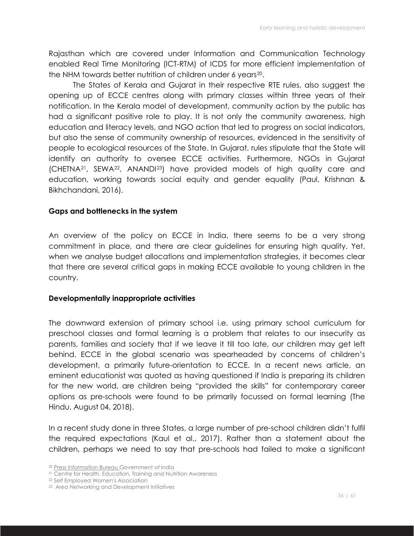Rajasthan which are covered under Information and Communication Technology enabled Real Time Monitoring (ICT-RTM) of ICDS for more efficient implementation of the NHM towards better nutrition of children under 6 years<sup>20</sup>.

The States of Kerala and Gujarat in their respective RTE rules, also suggest the opening up of ECCE centres along with primary classes within three years of their notification. In the Kerala model of development, community action by the public has had a significant positive role to play. It is not only the community awareness, high education and literacy levels, and NGO action that led to progress on social indicators, but also the sense of community ownership of resources, evidenced in the sensitivity of people to ecological resources of the State. In Gujarat, rules stipulate that the State will identify an authority to oversee ECCE activities. Furthermore, NGOs in Gujarat (CHETNA21, SEWA22, ANANDI23) have provided models of high quality care and education, working towards social equity and gender equality (Paul, Krishnan & Bikhchandani, 2016).

#### **Gaps and bottlenecks in the system**

An overview of the policy on ECCE in India, there seems to be a very strong commitment in place, and there are clear guidelines for ensuring high quality. Yet, when we analyse budget allocations and implementation strategies, it becomes clear that there are several critical gaps in making ECCE available to young children in the country.

#### **Developmentally inappropriate activities**

The downward extension of primary school i.e. using primary school curriculum for preschool classes and formal learning is a problem that relates to our insecurity as parents, families and society that if we leave it till too late, our children may get left behind. ECCE in the global scenario was spearheaded by concerns of children's development, a primarily future-orientation to ECCE. In a recent news article, an eminent educationist was quoted as having questioned if India is preparing its children for the new world, are children being "provided the skills" for contemporary career options as pre-schools were found to be primarily focussed on formal learning (The Hindu, August 04, 2018).

In a recent study done in three States, a large number of pre-school children didn't fulfil the required expectations (Kaul et al., 2017). Rather than a statement about the children, perhaps we need to say that pre-schools had failed to make a significant

<sup>20</sup> Press Information Bureau Government of India

<sup>21</sup> Centre for Health, Education, Training and Nutrition Awareness

<sup>22</sup> Self Employed Women's Association

<sup>23</sup> Area Networking and Development Initiatives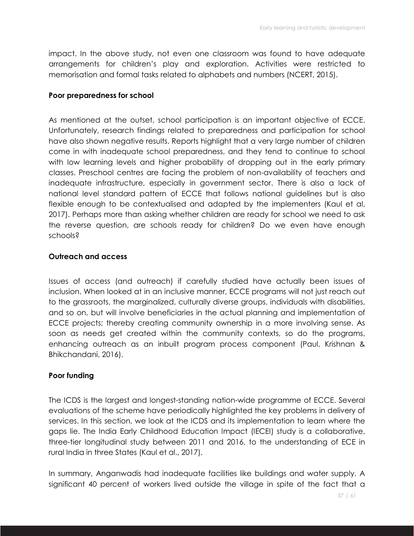impact. In the above study, not even one classroom was found to have adequate arrangements for children's play and exploration. Activities were restricted to memorisation and formal tasks related to alphabets and numbers (NCERT, 2015).

#### **Poor preparedness for school**

As mentioned at the outset, school participation is an important objective of ECCE. Unfortunately, research findings related to preparedness and participation for school have also shown negative results. Reports highlight that a very large number of children come in with inadequate school preparedness, and they tend to continue to school with low learning levels and higher probability of dropping out in the early primary classes. Preschool centres are facing the problem of non-availability of teachers and inadequate infrastructure, especially in government sector. There is also a lack of national level standard pattern of ECCE that follows national guidelines but is also flexible enough to be contextualised and adapted by the implementers (Kaul et al, 2017). Perhaps more than asking whether children are ready for school we need to ask the reverse question, are schools ready for children? Do we even have enough schools?

#### **Outreach and access**

Issues of access (and outreach) if carefully studied have actually been issues of inclusion. When looked at in an inclusive manner, ECCE programs will not just reach out to the grassroots, the marginalized, culturally diverse groups, individuals with disabilities, and so on, but will involve beneficiaries in the actual planning and implementation of ECCE projects; thereby creating community ownership in a more involving sense. As soon as needs get created within the community contexts, so do the programs, enhancing outreach as an inbuilt program process component (Paul, Krishnan & Bhikchandani, 2016).

#### **Poor funding**

The ICDS is the largest and longest-standing nation-wide programme of ECCE. Several evaluations of the scheme have periodically highlighted the key problems in delivery of services. In this section, we look at the ICDS and its implementation to learn where the gaps lie. The India Early Childhood Education Impact (IECEI) study is a collaborative, three-tier longitudinal study between 2011 and 2016, to the understanding of ECE in rural India in three States (Kaul et al., 2017).

In summary, Anganwadis had inadequate facilities like buildings and water supply. A significant 40 percent of workers lived outside the village in spite of the fact that a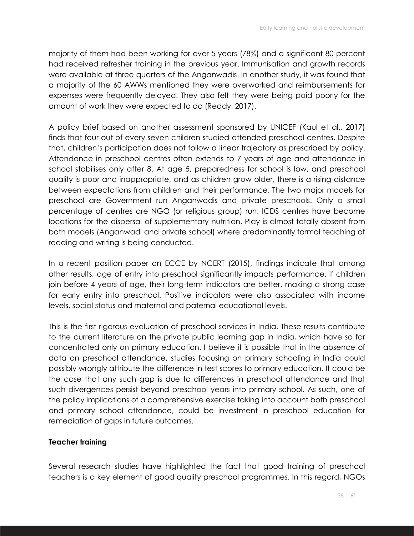majority of them had been working for over 5 years (78%) and a significant 80 percent had received refresher training in the previous year. Immunisation and growth records were available at three quarters of the Anganwadis. In another study, it was found that a majority of the 60 AWWs mentioned they were overworked and reimbursements for expenses were frequently delayed. They also felt they were being paid poorly for the amount of work they were expected to do (Reddy, 2017).

A policy brief based on another assessment sponsored by UNICEF (Kaul et al., 2017) finds that four out of every seven children studied attended preschool centres. Despite that, children's participation does not follow a linear trajectory as prescribed by policy. Attendance in preschool centres often extends to 7 years of age and attendance in school stabilises only after 8. At age 5, preparedness for school is low, and preschool quality is poor and inappropriate, and as children grow older, there is a rising distance between expectations from children and their performance. The two major models for preschool are Government run Anganwadis and private preschools. Only a small percentage of centres are NGO (or religious group) run. ICDS centres have become locations for the dispersal of supplementary nutrition. Play is almost totally absent from both models (Anganwadi and private school) where predominantly formal teaching of reading and writing is being conducted.

In a recent position paper on ECCE by NCERT (2015), findings indicate that among other results, age of entry into preschool significantly impacts performance. If children join before 4 years of age, their long-term indicators are better, making a strong case for early entry into preschool. Positive indicators were also associated with income levels, social status and maternal and paternal educational levels.

This is the first rigorous evaluation of preschool services in India. These results contribute to the current literature on the private public learning gap in India, which have so far concentrated only on primary education. I believe it is possible that in the absence of data on preschool attendance, studies focusing on primary schooling in India could possibly wrongly attribute the difference in test scores to primary education. It could be the case that any such gap is due to differences in preschool attendance and that such divergences persist beyond preschool years into primary school. As such, one of the policy implications of a comprehensive exercise taking into account both preschool and primary school attendance, could be investment in preschool education for remediation of gaps in future outcomes.

#### **Teacher training**

Several research studies have highlighted the fact that good training of preschool teachers is a key element of good quality preschool programmes. In this regard, NGOs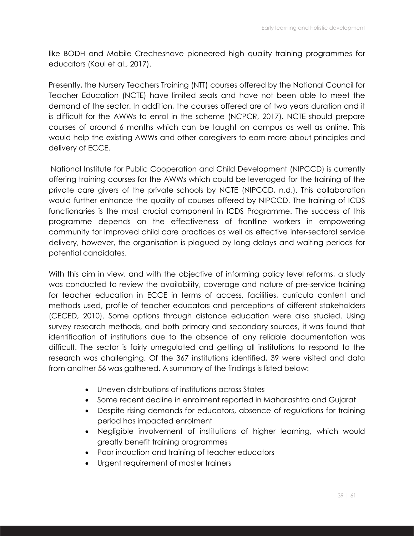like BODH and Mobile Crecheshave pioneered high quality training programmes for educators (Kaul et al., 2017).

Presently, the Nursery Teachers Training (NTT) courses offered by the National Council for Teacher Education (NCTE) have limited seats and have not been able to meet the demand of the sector. In addition, the courses offered are of two years duration and it is difficult for the AWWs to enrol in the scheme (NCPCR, 2017). NCTE should prepare courses of around 6 months which can be taught on campus as well as online. This would help the existing AWWs and other caregivers to earn more about principles and delivery of ECCE.

National Institute for Public Cooperation and Child Development (NIPCCD) is currently offering training courses for the AWWs which could be leveraged for the training of the private care givers of the private schools by NCTE (NIPCCD, n.d.). This collaboration would further enhance the quality of courses offered by NIPCCD. The training of ICDS functionaries is the most crucial component in ICDS Programme. The success of this programme depends on the effectiveness of frontline workers in empowering community for improved child care practices as well as effective inter-sectoral service delivery, however, the organisation is plagued by long delays and waiting periods for potential candidates.

With this aim in view, and with the objective of informing policy level reforms, a study was conducted to review the availability, coverage and nature of pre-service training for teacher education in ECCE in terms of access, facilities, curricula content and methods used, profile of teacher educators and perceptions of different stakeholders (CECED, 2010). Some options through distance education were also studied. Using survey research methods, and both primary and secondary sources, it was found that identification of institutions due to the absence of any reliable documentation was difficult. The sector is fairly unregulated and getting all institutions to respond to the research was challenging. Of the 367 institutions identified, 39 were visited and data from another 56 was gathered. A summary of the findings is listed below:

- Uneven distributions of institutions across States
- Some recent decline in enrolment reported in Maharashtra and Gujarat
- Despite rising demands for educators, absence of regulations for training period has impacted enrolment
- Negligible involvement of institutions of higher learning, which would greatly benefit training programmes
- Poor induction and training of teacher educators
- Urgent requirement of master trainers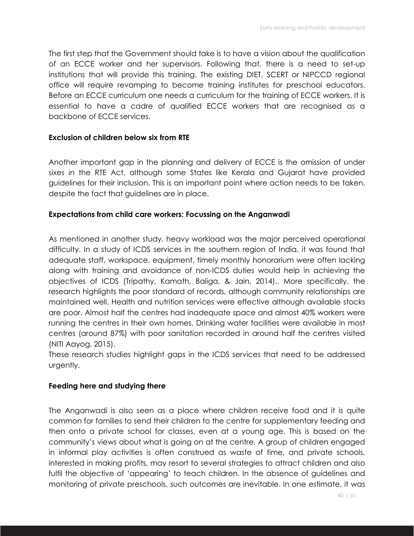The first step that the Government should take is to have a vision about the qualification of an ECCE worker and her supervisors. Following that, there is a need to set-up institutions that will provide this training. The existing DIET, SCERT or NIPCCD regional office will require revamping to become training institutes for preschool educators. Before an ECCE curriculum one needs a curriculum for the training of ECCE workers. It is essential to have a cadre of qualified ECCE workers that are recognised as a backbone of ECCE services.

#### **Exclusion of children below six from RTE**

Another important gap in the planning and delivery of ECCE is the omission of under sixes in the RTE Act, although some States like Kerala and Gujarat have provided guidelines for their inclusion. This is an important point where action needs to be taken, despite the fact that guidelines are in place.

#### **Expectations from child care workers: Focussing on the Anganwadi**

As mentioned in another study, heavy workload was the major perceived operational difficulty. In a study of ICDS services in the southern region of India, it was found that adequate staff, workspace, equipment, timely monthly honorarium were often lacking along with training and avoidance of non-ICDS duties would help in achieving the objectives of ICDS (Tripathy, Kamath, Baliga, & Jain, 2014).. More specifically, the research highlights the poor standard of records, although community relationships are maintained well. Health and nutrition services were effective although available stocks are poor. Almost half the centres had inadequate space and almost 40% workers were running the centres in their own homes. Drinking water facilities were available in most centres (around 87%) with poor sanitation recorded in around half the centres visited (NITI Aayog, 2015).

These research studies highlight gaps in the ICDS services that need to be addressed urgently.

#### **Feeding here and studying there**

The Anganwadi is also seen as a place where children receive food and it is quite common for families to send their children to the centre for supplementary feeding and then onto a private school for classes, even at a young age. This is based on the community's views about what is going on at the centre. A group of children engaged in informal play activities is often construed as waste of time, and private schools, interested in making profits, may resort to several strategies to attract children and also fulfil the objective of 'appearing' to teach children. In the absence of guidelines and monitoring of private preschools, such outcomes are inevitable. In one estimate, it was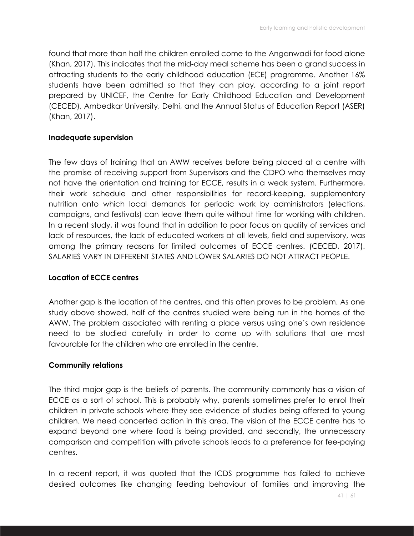found that more than half the children enrolled come to the Anganwadi for food alone (Khan, 2017). This indicates that the mid-day meal scheme has been a grand success in attracting students to the early childhood education (ECE) programme. Another 16% students have been admitted so that they can play, according to a joint report prepared by UNICEF, the Centre for Early Childhood Education and Development (CECED), Ambedkar University, Delhi, and the Annual Status of Education Report (ASER) (Khan, 2017).

#### **Inadequate supervision**

The few days of training that an AWW receives before being placed at a centre with the promise of receiving support from Supervisors and the CDPO who themselves may not have the orientation and training for ECCE, results in a weak system. Furthermore, their work schedule and other responsibilities for record-keeping, supplementary nutrition onto which local demands for periodic work by administrators (elections, campaigns, and festivals) can leave them quite without time for working with children. In a recent study, it was found that in addition to poor focus on quality of services and lack of resources, the lack of educated workers at all levels, field and supervisory, was among the primary reasons for limited outcomes of ECCE centres. (CECED, 2017). SALARIES VARY IN DIFFERENT STATES AND LOWER SALARIES DO NOT ATTRACT PEOPLE.

#### **Location of ECCE centres**

Another gap is the location of the centres, and this often proves to be problem. As one study above showed, half of the centres studied were being run in the homes of the AWW. The problem associated with renting a place versus using one's own residence need to be studied carefully in order to come up with solutions that are most favourable for the children who are enrolled in the centre.

#### **Community relations**

The third major gap is the beliefs of parents. The community commonly has a vision of ECCE as a sort of school. This is probably why, parents sometimes prefer to enrol their children in private schools where they see evidence of studies being offered to young children. We need concerted action in this area. The vision of the ECCE centre has to expand beyond one where food is being provided, and secondly, the unnecessary comparison and competition with private schools leads to a preference for fee-paying centres.

In a recent report, it was quoted that the ICDS programme has failed to achieve desired outcomes like changing feeding behaviour of families and improving the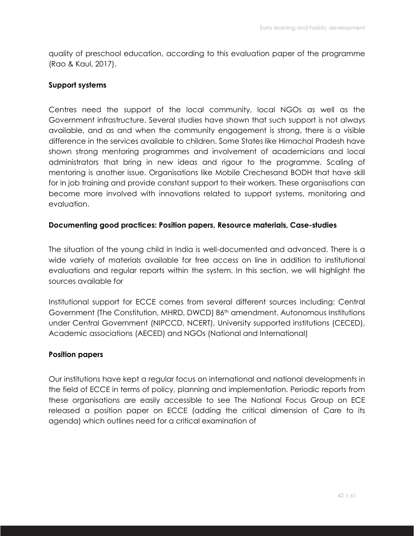quality of preschool education, according to this evaluation paper of the programme (Rao & Kaul, 2017).

#### **Support systems**

Centres need the support of the local community, local NGOs as well as the Government infrastructure. Several studies have shown that such support is not always available, and as and when the community engagement is strong, there is a visible difference in the services available to children. Some States like Himachal Pradesh have shown strong mentoring programmes and involvement of academicians and local administrators that bring in new ideas and rigour to the programme. Scaling of mentoring is another issue. Organisations like Mobile Crechesand BODH that have skill for in job training and provide constant support to their workers. These organisations can become more involved with innovations related to support systems, monitoring and evaluation.

#### **Documenting good practices: Position papers, Resource materials, Case-studies**

The situation of the young child in India is well-documented and advanced. There is a wide variety of materials available for free access on line in addition to institutional evaluations and regular reports within the system. In this section, we will highlight the sources available for

Institutional support for ECCE comes from several different sources including: Central Government (The Constitution, MHRD, DWCD) 86th amendment, Autonomous Institutions under Central Government (NIPCCD, NCERT), University supported institutions (CECED), Academic associations (AECED) and NGOs (National and International)

#### **Position papers**

Our institutions have kept a regular focus on international and national developments in the field of ECCE in terms of policy, planning and implementation. Periodic reports from these organisations are easily accessible to see The National Focus Group on ECE released a position paper on ECCE (adding the critical dimension of Care to its agenda) which outlines need for a critical examination of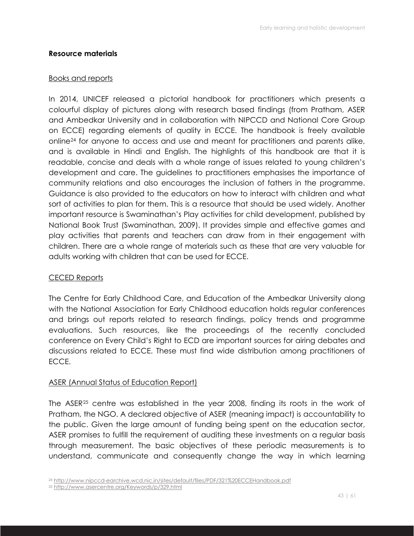## **Resource materials**

## Books and reports

In 2014, UNICEF released a pictorial handbook for practitioners which presents a colourful display of pictures along with research based findings (from Pratham, ASER and Ambedkar University and in collaboration with NIPCCD and National Core Group on ECCE) regarding elements of quality in ECCE. The handbook is freely available online24 for anyone to access and use and meant for practitioners and parents alike, and is available in Hindi and English. The highlights of this handbook are that it is readable, concise and deals with a whole range of issues related to young children's development and care. The guidelines to practitioners emphasises the importance of community relations and also encourages the inclusion of fathers in the programme. Guidance is also provided to the educators on how to interact with children and what sort of activities to plan for them. This is a resource that should be used widely. Another important resource is Swaminathan's Play activities for child development, published by National Book Trust (Swaminathan, 2009). It provides simple and effective games and play activities that parents and teachers can draw from in their engagement with children. There are a whole range of materials such as these that are very valuable for adults working with children that can be used for ECCE.

## CECED Reports

The Centre for Early Childhood Care, and Education of the Ambedkar University along with the National Association for Early Childhood education holds regular conferences and brings out reports related to research findings, policy trends and programme evaluations. Such resources, like the proceedings of the recently concluded conference on Every Child's Right to ECD are important sources for airing debates and discussions related to ECCE. These must find wide distribution among practitioners of ECCE.

## ASER (Annual Status of Education Report)

The ASER25 centre was established in the year 2008, finding its roots in the work of Pratham, the NGO. A declared objective of ASER (meaning impact) is accountability to the public. Given the large amount of funding being spent on the education sector, ASER promises to fulfill the requirement of auditing these investments on a regular basis through measurement. The basic objectives of these periodic measurements is to understand, communicate and consequently change the way in which learning

<sup>24</sup> http://www.nipccd-earchive.wcd.nic.in/sites/default/files/PDF/321%20ECCEHandbook.pdf

<sup>25</sup> http://www.asercentre.org/Keywords/p/329.html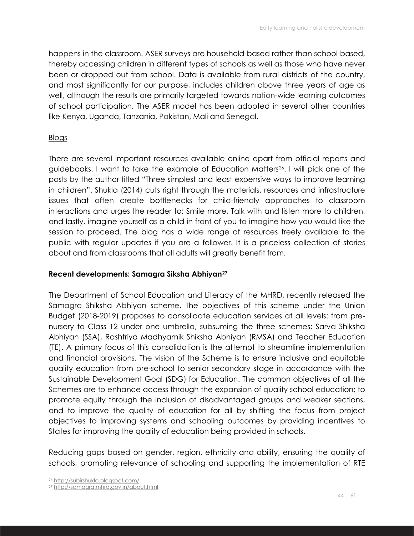happens in the classroom. ASER surveys are household-based rather than school-based, thereby accessing children in different types of schools as well as those who have never been or dropped out from school. Data is available from rural districts of the country, and most significantly for our purpose, includes children above three years of age as well, although the results are primarily targeted towards nation-wide learning outcomes of school participation. The ASER model has been adopted in several other countries like Kenya, Uganda, Tanzania, Pakistan, Mali and Senegal.

## **Blogs**

There are several important resources available online apart from official reports and guidebooks. I want to take the example of Education Matters26. I will pick one of the posts by the author titled "Three simplest and least expensive ways to improve learning in children". Shukla (2014) cuts right through the materials, resources and infrastructure issues that often create bottlenecks for child-friendly approaches to classroom interactions and urges the reader to: Smile more, Talk with and listen more to children, and lastly, imagine yourself as a child in front of you to imagine how you would like the session to proceed. The blog has a wide range of resources freely available to the public with regular updates if you are a follower. It is a priceless collection of stories about and from classrooms that all adults will greatly benefit from.

#### **Recent developments: Samagra Siksha Abhiyan27**

The Department of School Education and Literacy of the MHRD, recently released the Samagra Shiksha Abhiyan scheme. The objectives of this scheme under the Union Budget (2018-2019) proposes to consolidate education services at all levels: from prenursery to Class 12 under one umbrella, subsuming the three schemes: Sarva Shiksha Abhiyan (SSA), Rashtriya Madhyamik Shiksha Abhiyan (RMSA) and Teacher Education (TE). A primary focus of this consolidation is the attempt to streamline implementation and financial provisions. The vision of the Scheme is to ensure inclusive and equitable quality education from pre-school to senior secondary stage in accordance with the Sustainable Development Goal (SDG) for Education. The common objectives of all the Schemes are to enhance access through the expansion of quality school education; to promote equity through the inclusion of disadvantaged groups and weaker sections, and to improve the quality of education for all by shifting the focus from project objectives to improving systems and schooling outcomes by providing incentives to States for improving the quality of education being provided in schools.

Reducing gaps based on gender, region, ethnicity and ability, ensuring the quality of schools, promoting relevance of schooling and supporting the implementation of RTE

<sup>27</sup> http://samagra.mhrd.gov.in/about.html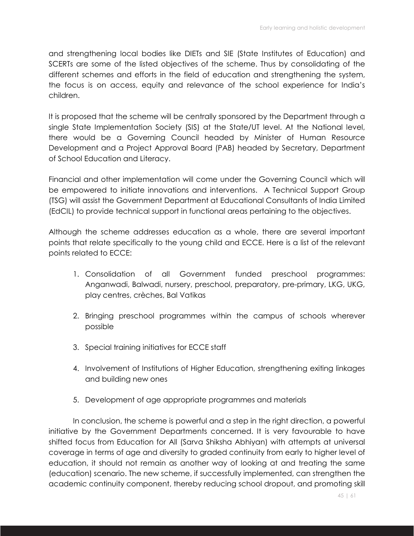and strengthening local bodies like DIETs and SIE (State Institutes of Education) and SCERTs are some of the listed objectives of the scheme. Thus by consolidating of the different schemes and efforts in the field of education and strengthening the system, the focus is on access, equity and relevance of the school experience for India's children.

It is proposed that the scheme will be centrally sponsored by the Department through a single State Implementation Society (SIS) at the State/UT level. At the National level, there would be a Governing Council headed by Minister of Human Resource Development and a Project Approval Board (PAB) headed by Secretary, Department of School Education and Literacy.

Financial and other implementation will come under the Governing Council which will be empowered to initiate innovations and interventions. A Technical Support Group (TSG) will assist the Government Department at Educational Consultants of India Limited (EdCIL) to provide technical support in functional areas pertaining to the objectives.

Although the scheme addresses education as a whole, there are several important points that relate specifically to the young child and ECCE. Here is a list of the relevant points related to ECCE:

- 1. Consolidation of all Government funded preschool programmes: Anganwadi, Balwadi, nursery, preschool, preparatory, pre-primary, LKG, UKG, play centres, crèches, Bal Vatikas
- 2. Bringing preschool programmes within the campus of schools wherever possible
- 3. Special training initiatives for ECCE staff
- 4. Involvement of Institutions of Higher Education, strengthening exiting linkages and building new ones
- 5. Development of age appropriate programmes and materials

In conclusion, the scheme is powerful and a step in the right direction, a powerful initiative by the Government Departments concerned. It is very favourable to have shifted focus from Education for All (Sarva Shiksha Abhiyan) with attempts at universal coverage in terms of age and diversity to graded continuity from early to higher level of education, it should not remain as another way of looking at and treating the same (education) scenario. The new scheme, if successfully implemented, can strengthen the academic continuity component, thereby reducing school dropout, and promoting skill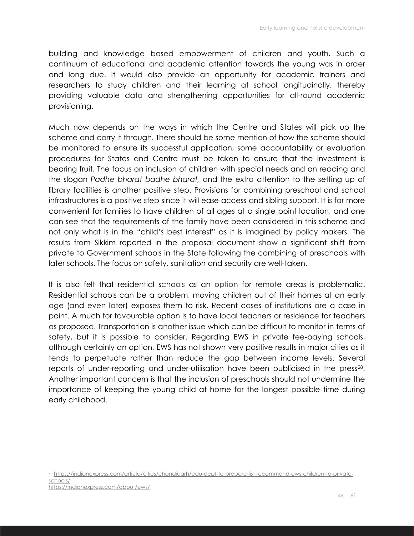building and knowledge based empowerment of children and youth. Such a continuum of educational and academic attention towards the young was in order and long due. It would also provide an opportunity for academic trainers and researchers to study children and their learning at school longitudinally, thereby providing valuable data and strengthening opportunities for all-round academic provisioning.

Much now depends on the ways in which the Centre and States will pick up the scheme and carry it through. There should be some mention of how the scheme should be monitored to ensure its successful application, some accountability or evaluation procedures for States and Centre must be taken to ensure that the investment is bearing fruit. The focus on inclusion of children with special needs and on reading and the slogan *Padhe bharat badhe bharat,* and the extra attention to the setting up of library facilities is another positive step. Provisions for combining preschool and school infrastructures is a positive step since it will ease access and sibling support. It is far more convenient for families to have children of all ages at a single point location, and one can see that the requirements of the family have been considered in this scheme and not only what is in the "child's best interest" as it is imagined by policy makers. The results from Sikkim reported in the proposal document show a significant shift from private to Government schools in the State following the combining of preschools with later schools. The focus on safety, sanitation and security are well-taken.

It is also felt that residential schools as an option for remote areas is problematic. Residential schools can be a problem, moving children out of their homes at an early age (and even later) exposes them to risk. Recent cases of institutions are a case in point. A much for favourable option is to have local teachers or residence for teachers as proposed. Transportation is another issue which can be difficult to monitor in terms of safety, but it is possible to consider. Regarding EWS in private fee-paying schools, although certainly an option, EWS has not shown very positive results in major cities as it tends to perpetuate rather than reduce the gap between income levels. Several reports of under-reporting and under-utilisation have been publicised in the press<sup>28</sup>. Another important concern is that the inclusion of preschools should not undermine the importance of keeping the young child at home for the longest possible time during early childhood.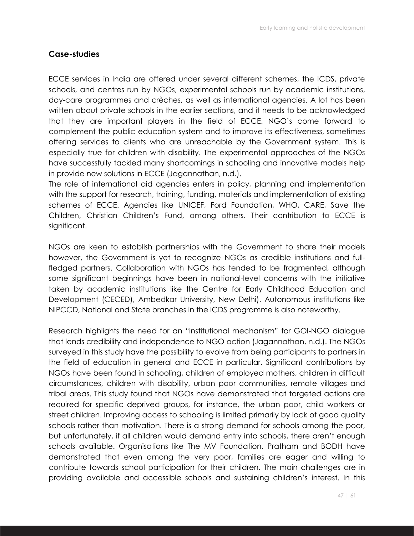## **Case-studies**

ECCE services in India are offered under several different schemes, the ICDS, private schools, and centres run by NGOs, experimental schools run by academic institutions, day-care programmes and crèches, as well as international agencies. A lot has been written about private schools in the earlier sections, and it needs to be acknowledged that they are important players in the field of ECCE. NGO's come forward to complement the public education system and to improve its effectiveness, sometimes offering services to clients who are unreachable by the Government system. This is especially true for children with disability. The experimental approaches of the NGOs have successfully tackled many shortcomings in schooling and innovative models help in provide new solutions in ECCE (Jagannathan, n.d.).

The role of international aid agencies enters in policy, planning and implementation with the support for research, training, funding, materials and implementation of existing schemes of ECCE. Agencies like UNICEF, Ford Foundation, WHO, CARE, Save the Children, Christian Children's Fund, among others. Their contribution to ECCE is significant.

NGOs are keen to establish partnerships with the Government to share their models however, the Government is yet to recognize NGOs as credible institutions and fullfledged partners. Collaboration with NGOs has tended to be fragmented, although some significant beginnings have been in national-level concerns with the initiative taken by academic institutions like the Centre for Early Childhood Education and Development (CECED), Ambedkar University, New Delhi). Autonomous institutions like NIPCCD, National and State branches in the ICDS programme is also noteworthy.

Research highlights the need for an "institutional mechanism" for GOI-NGO dialogue that lends credibility and independence to NGO action (Jagannathan, n.d.). The NGOs surveyed in this study have the possibility to evolve from being participants to partners in the field of education in general and ECCE in particular. Significant contributions by NGOs have been found in schooling, children of employed mothers, children in difficult circumstances, children with disability, urban poor communities, remote villages and tribal areas. This study found that NGOs have demonstrated that targeted actions are required for specific deprived groups, for instance, the urban poor, child workers or street children. Improving access to schooling is limited primarily by lack of good quality schools rather than motivation. There is a strong demand for schools among the poor, but unfortunately, if all children would demand entry into schools, there aren't enough schools available. Organisations like The MV Foundation, Pratham and BODH have demonstrated that even among the very poor, families are eager and willing to contribute towards school participation for their children. The main challenges are in providing available and accessible schools and sustaining children's interest. In this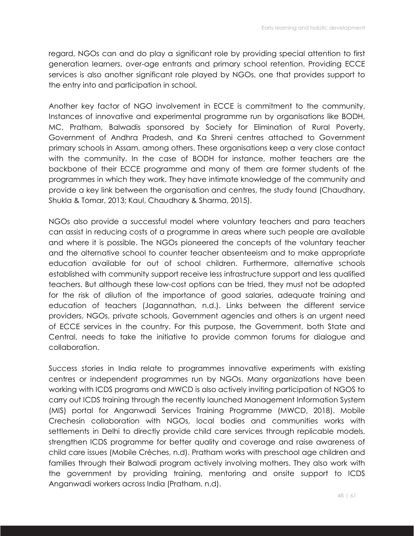regard, NGOs can and do play a significant role by providing special attention to first generation learners, over-age entrants and primary school retention. Providing ECCE services is also another significant role played by NGOs, one that provides support to the entry into and participation in school.

Another key factor of NGO involvement in ECCE is commitment to the community. Instances of innovative and experimental programme run by organisations like BODH, MC, Pratham, Balwadis sponsored by Society for Elimination of Rural Poverty, Government of Andhra Pradesh, and Ka Shreni centres attached to Government primary schools in Assam, among others. These organisations keep a very close contact with the community. In the case of BODH for instance, mother teachers are the backbone of their ECCE programme and many of them are former students of the programmes in which they work. They have intimate knowledge of the community and provide a key link between the organisation and centres, the study found (Chaudhary, Shukla & Tomar, 2013; Kaul, Chaudhary & Sharma, 2015).

NGOs also provide a successful model where voluntary teachers and para teachers can assist in reducing costs of a programme in areas where such people are available and where it is possible. The NGOs pioneered the concepts of the voluntary teacher and the alternative school to counter teacher absenteeism and to make appropriate education available for out of school children. Furthermore, alternative schools established with community support receive less infrastructure support and less qualified teachers. But although these low-cost options can be tried, they must not be adopted for the risk of dilution of the importance of good salaries, adequate training and education of teachers (Jagannathan, n.d.). Links between the different service providers, NGOs, private schools, Government agencies and others is an urgent need of ECCE services in the country. For this purpose, the Government, both State and Central, needs to take the initiative to provide common forums for dialogue and collaboration.

Success stories in India relate to programmes innovative experiments with existing centres or independent programmes run by NGOs. Many organizations have been working with ICDS programs and MWCD is also actively inviting participation of NGOS to carry out ICDS training through the recently launched Management Information System (MIS) portal for Anganwadi Services Training Programme (MWCD, 2018). Mobile Crechesin collaboration with NGOs, local bodies and communities works with settlements in Delhi to directly provide child care services through replicable models, strengthen ICDS programme for better quality and coverage and raise awareness of child care issues (Mobile Crèches, n.d). Pratham works with preschool age children and families through their Balwadi program actively involving mothers. They also work with the government by providing training, mentoring and onsite support to ICDS Anganwadi workers across India (Pratham, n.d).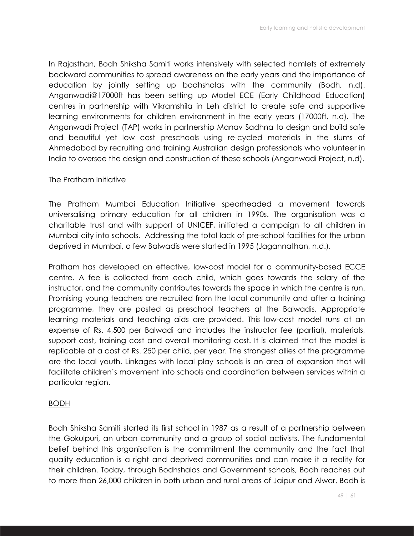In Rajasthan, Bodh Shiksha Samiti works intensively with selected hamlets of extremely backward communities to spread awareness on the early years and the importance of education by jointly setting up bodhshalas with the community (Bodh, n.d). Anganwadi@17000ft has been setting up Model ECE (Early Childhood Education) centres in partnership with Vikramshila in Leh district to create safe and supportive learning environments for children environment in the early years (17000ft, n.d). The Anganwadi Project (TAP) works in partnership Manav Sadhna to design and build safe and beautiful yet low cost preschools using re-cycled materials in the slums of Ahmedabad by recruiting and training Australian design professionals who volunteer in India to oversee the design and construction of these schools (Anganwadi Project, n.d).

## The Pratham Initiative

The Pratham Mumbai Education Initiative spearheaded a movement towards universalising primary education for all children in 1990s. The organisation was a charitable trust and with support of UNICEF, initiated a campaign to all children in Mumbai city into schools. Addressing the total lack of pre-school facilities for the urban deprived in Mumbai, a few Balwadis were started in 1995 (Jagannathan, n.d.).

Pratham has developed an effective, low-cost model for a community-based ECCE centre. A fee is collected from each child, which goes towards the salary of the instructor, and the community contributes towards the space in which the centre is run. Promising young teachers are recruited from the local community and after a training programme, they are posted as preschool teachers at the Balwadis. Appropriate learning materials and teaching aids are provided. This low-cost model runs at an expense of Rs. 4,500 per Balwadi and includes the instructor fee (partial), materials, support cost, training cost and overall monitoring cost. It is claimed that the model is replicable at a cost of Rs. 250 per child, per year. The strongest allies of the programme are the local youth. Linkages with local play schools is an area of expansion that will facilitate children's movement into schools and coordination between services within a particular region.

## BODH

Bodh Shiksha Samiti started its first school in 1987 as a result of a partnership between the Gokulpuri, an urban community and a group of social activists. The fundamental belief behind this organisation is the commitment the community and the fact that quality education is a right and deprived communities and can make it a reality for their children. Today, through Bodhshalas and Government schools, Bodh reaches out to more than 26,000 children in both urban and rural areas of Jaipur and Alwar. Bodh is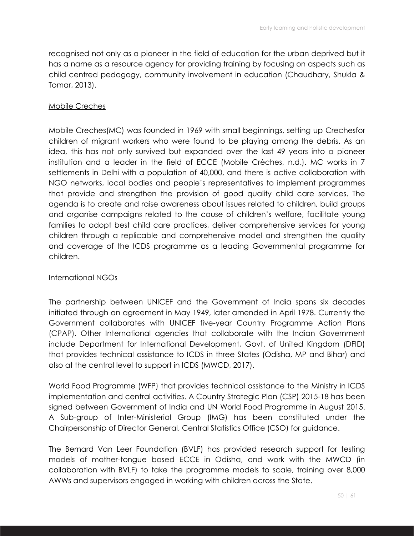recognised not only as a pioneer in the field of education for the urban deprived but it has a name as a resource agency for providing training by focusing on aspects such as child centred pedagogy, community involvement in education (Chaudhary, Shukla & Tomar, 2013).

#### Mobile Creches

Mobile Creches(MC) was founded in 1969 with small beginnings, setting up Crechesfor children of migrant workers who were found to be playing among the debris. As an idea, this has not only survived but expanded over the last 49 years into a pioneer institution and a leader in the field of ECCE (Mobile Crèches, n.d.). MC works in 7 settlements in Delhi with a population of 40,000, and there is active collaboration with NGO networks, local bodies and people's representatives to implement programmes that provide and strengthen the provision of good quality child care services. The agenda is to create and raise awareness about issues related to children, build groups and organise campaigns related to the cause of children's welfare, facilitate young families to adopt best child care practices, deliver comprehensive services for young children through a replicable and comprehensive model and strengthen the quality and coverage of the ICDS programme as a leading Governmental programme for children.

#### International NGOs

The partnership between UNICEF and the Government of India spans six decades initiated through an agreement in May 1949, later amended in April 1978. Currently the Government collaborates with UNICEF five-year Country Programme Action Plans (CPAP). Other International agencies that collaborate with the Indian Government include Department for International Development, Govt. of United Kingdom (DFID) that provides technical assistance to ICDS in three States (Odisha, MP and Bihar) and also at the central level to support in ICDS (MWCD, 2017).

World Food Programme (WFP) that provides technical assistance to the Ministry in ICDS implementation and central activities. A Country Strategic Plan (CSP) 2015-18 has been signed between Government of India and UN World Food Programme in August 2015. A Sub-group of Inter-Ministerial Group (IMG) has been constituted under the Chairpersonship of Director General, Central Statistics Office (CSO) for guidance.

The Bernard Van Leer Foundation (BVLF) has provided research support for testing models of mother-tongue based ECCE in Odisha, and work with the MWCD (in collaboration with BVLF) to take the programme models to scale, training over 8,000 AWWs and supervisors engaged in working with children across the State.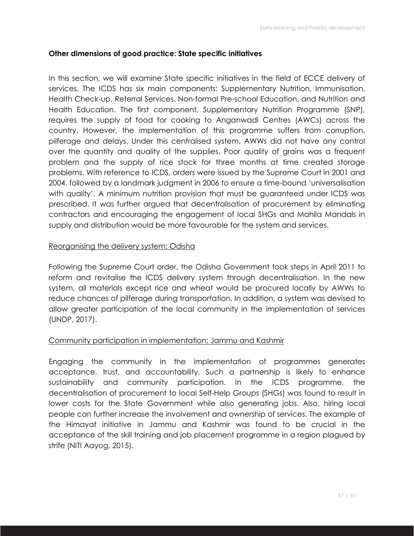#### **Other dimensions of good practice: State specific initiatives**

In this section, we will examine State specific initiatives in the field of ECCE delivery of services. The ICDS has six main components: Supplementary Nutrition, Immunisation, Health Check-up, Referral Services, Non-formal Pre-school Education, and Nutrition and Health Education. The first component, Supplementary Nutrition Programme (SNP), requires the supply of food for cooking to Anganwadi Centres (AWCs) across the country. However, the implementation of this programme suffers from corruption, pilferage and delays. Under this centralised system, AWWs did not have any control over the quantity and quality of the supplies. Poor quality of grains was a frequent problem and the supply of rice stock for three months at time created storage problems. With reference to ICDS, orders were issued by the Supreme Court in 2001 and 2004, followed by a landmark judgment in 2006 to ensure a time-bound 'universalisation with quality'. A minimum nutrition provision that must be guaranteed under ICDS was prescribed. It was further argued that decentralisation of procurement by eliminating contractors and encouraging the engagement of local SHGs and Mahila Mandals in supply and distribution would be more favourable for the system and services.

#### Reorganising the delivery system: Odisha

Following the Supreme Court order, the Odisha Government took steps in April 2011 to reform and revitalise the ICDS delivery system through decentralisation. In the new system, all materials except rice and wheat would be procured locally by AWWs to reduce chances of pilferage during transportation. In addition, a system was devised to allow greater participation of the local community in the implementation of services (UNDP, 2017).

#### Community participation in implementation: Jammu and Kashmir

Engaging the community in the implementation of programmes generates acceptance, trust, and accountability. Such a partnership is likely to enhance sustainability and community participation. In the ICDS programme, the decentralisation of procurement to local Self-Help Groups (SHGs) was found to result in lower costs for the State Government while also generating jobs. Also, hiring local people can further increase the involvement and ownership of services. The example of the Himayat initiative in Jammu and Kashmir was found to be crucial in the acceptance of the skill training and job placement programme in a region plagued by strife (NITI Aayog, 2015).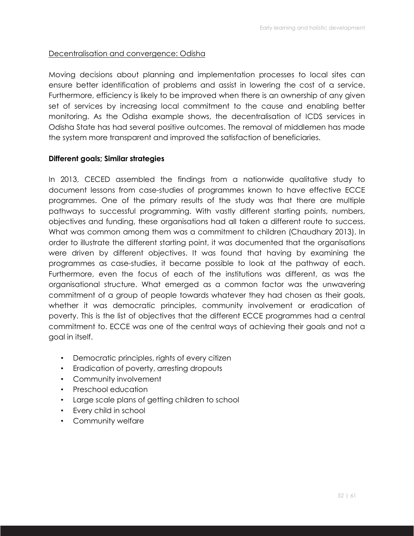#### Decentralisation and convergence: Odisha

Moving decisions about planning and implementation processes to local sites can ensure better identification of problems and assist in lowering the cost of a service. Furthermore, efficiency is likely to be improved when there is an ownership of any given set of services by increasing local commitment to the cause and enabling better monitoring. As the Odisha example shows, the decentralisation of ICDS services in Odisha State has had several positive outcomes. The removal of middlemen has made the system more transparent and improved the satisfaction of beneficiaries.

#### **Different goals; Similar strategies**

In 2013, CECED assembled the findings from a nationwide qualitative study to document lessons from case-studies of programmes known to have effective ECCE programmes. One of the primary results of the study was that there are multiple pathways to successful programming. With vastly different starting points, numbers, objectives and funding, these organisations had all taken a different route to success. What was common among them was a commitment to children (Chaudhary 2013). In order to illustrate the different starting point, it was documented that the organisations were driven by different objectives. It was found that having by examining the programmes as case-studies, it became possible to look at the pathway of each. Furthermore, even the focus of each of the institutions was different, as was the organisational structure. What emerged as a common factor was the unwavering commitment of a group of people towards whatever they had chosen as their goals, whether it was democratic principles, community involvement or eradication of poverty. This is the list of objectives that the different ECCE programmes had a central commitment to. ECCE was one of the central ways of achieving their goals and not a goal in itself.

- Democratic principles, rights of every citizen
- Eradication of poverty, arresting dropouts
- Community involvement
- Preschool education
- Large scale plans of getting children to school
- Every child in school
- Community welfare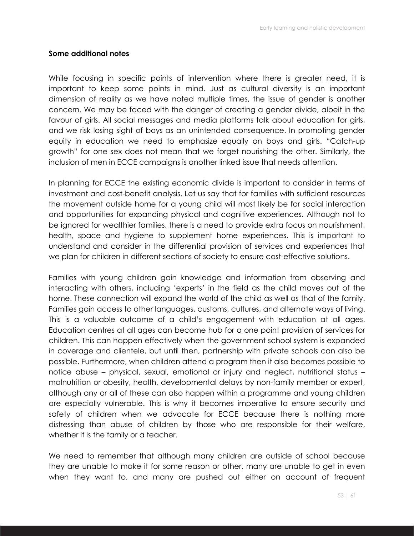#### **Some additional notes**

While focusing in specific points of intervention where there is greater need, it is important to keep some points in mind. Just as cultural diversity is an important dimension of reality as we have noted multiple times, the issue of gender is another concern. We may be faced with the danger of creating a gender divide, albeit in the favour of girls. All social messages and media platforms talk about education for girls, and we risk losing sight of boys as an unintended consequence. In promoting gender equity in education we need to emphasize equally on boys and girls. "Catch-up growth" for one sex does not mean that we forget nourishing the other. Similarly, the inclusion of men in ECCE campaigns is another linked issue that needs attention.

In planning for ECCE the existing economic divide is important to consider in terms of investment and cost-benefit analysis. Let us say that for families with sufficient resources the movement outside home for a young child will most likely be for social interaction and opportunities for expanding physical and cognitive experiences. Although not to be ignored for wealthier families, there is a need to provide extra focus on nourishment, health, space and hygiene to supplement home experiences. This is important to understand and consider in the differential provision of services and experiences that we plan for children in different sections of society to ensure cost-effective solutions.

Families with young children gain knowledge and information from observing and interacting with others, including 'experts' in the field as the child moves out of the home. These connection will expand the world of the child as well as that of the family. Families gain access to other languages, customs, cultures, and alternate ways of living. This is a valuable outcome of a child's engagement with education at all ages. Education centres at all ages can become hub for a one point provision of services for children. This can happen effectively when the government school system is expanded in coverage and clientele, but until then, partnership with private schools can also be possible. Furthermore, when children attend a program then it also becomes possible to notice abuse – physical, sexual, emotional or injury and neglect, nutritional status – malnutrition or obesity, health, developmental delays by non-family member or expert, although any or all of these can also happen within a programme and young children are especially vulnerable. This is why it becomes imperative to ensure security and safety of children when we advocate for ECCE because there is nothing more distressing than abuse of children by those who are responsible for their welfare, whether it is the family or a teacher.

We need to remember that although many children are outside of school because they are unable to make it for some reason or other, many are unable to get in even when they want to, and many are pushed out either on account of frequent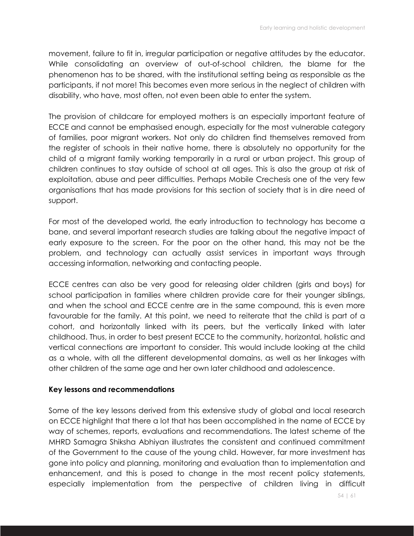movement, failure to fit in, irregular participation or negative attitudes by the educator. While consolidating an overview of out-of-school children, the blame for the phenomenon has to be shared, with the institutional setting being as responsible as the participants, if not more! This becomes even more serious in the neglect of children with disability, who have, most often, not even been able to enter the system.

The provision of childcare for employed mothers is an especially important feature of ECCE and cannot be emphasised enough, especially for the most vulnerable category of families, poor migrant workers. Not only do children find themselves removed from the register of schools in their native home, there is absolutely no opportunity for the child of a migrant family working temporarily in a rural or urban project. This group of children continues to stay outside of school at all ages. This is also the group at risk of exploitation, abuse and peer difficulties. Perhaps Mobile Crechesis one of the very few organisations that has made provisions for this section of society that is in dire need of support.

For most of the developed world, the early introduction to technology has become a bane, and several important research studies are talking about the negative impact of early exposure to the screen. For the poor on the other hand, this may not be the problem, and technology can actually assist services in important ways through accessing information, networking and contacting people.

ECCE centres can also be very good for releasing older children (girls and boys) for school participation in families where children provide care for their younger siblings, and when the school and ECCE centre are in the same compound, this is even more favourable for the family. At this point, we need to reiterate that the child is part of a cohort, and horizontally linked with its peers, but the vertically linked with later childhood. Thus, in order to best present ECCE to the community, horizontal, holistic and vertical connections are important to consider. This would include looking at the child as a whole, with all the different developmental domains, as well as her linkages with other children of the same age and her own later childhood and adolescence.

#### **Key lessons and recommendations**

Some of the key lessons derived from this extensive study of global and local research on ECCE highlight that there a lot that has been accomplished in the name of ECCE by way of schemes, reports, evaluations and recommendations. The latest scheme of the MHRD Samagra Shiksha Abhiyan illustrates the consistent and continued commitment of the Government to the cause of the young child. However, far more investment has gone into policy and planning, monitoring and evaluation than to implementation and enhancement, and this is posed to change in the most recent policy statements, especially implementation from the perspective of children living in difficult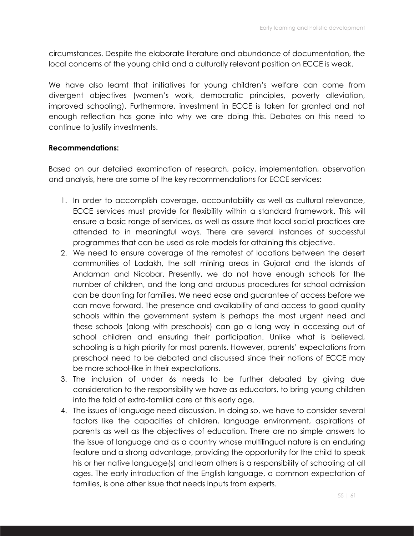circumstances. Despite the elaborate literature and abundance of documentation, the local concerns of the young child and a culturally relevant position on ECCE is weak.

We have also learnt that initiatives for young children's welfare can come from divergent objectives (women's work, democratic principles, poverty alleviation, improved schooling). Furthermore, investment in ECCE is taken for granted and not enough reflection has gone into why we are doing this. Debates on this need to continue to justify investments.

#### **Recommendations:**

Based on our detailed examination of research, policy, implementation, observation and analysis, here are some of the key recommendations for ECCE services:

- 1. In order to accomplish coverage, accountability as well as cultural relevance, ECCE services must provide for flexibility within a standard framework. This will ensure a basic range of services, as well as assure that local social practices are attended to in meaningful ways. There are several instances of successful programmes that can be used as role models for attaining this objective.
- 2. We need to ensure coverage of the remotest of locations between the desert communities of Ladakh, the salt mining areas in Gujarat and the islands of Andaman and Nicobar. Presently, we do not have enough schools for the number of children, and the long and arduous procedures for school admission can be daunting for families. We need ease and guarantee of access before we can move forward. The presence and availability of and access to good quality schools within the government system is perhaps the most urgent need and these schools (along with preschools) can go a long way in accessing out of school children and ensuring their participation. Unlike what is believed, schooling is a high priority for most parents. However, parents' expectations from preschool need to be debated and discussed since their notions of ECCE may be more school-like in their expectations.
- 3. The inclusion of under 6s needs to be further debated by giving due consideration to the responsibility we have as educators, to bring young children into the fold of extra-familial care at this early age.
- 4. The issues of language need discussion. In doing so, we have to consider several factors like the capacities of children, language environment, aspirations of parents as well as the objectives of education. There are no simple answers to the issue of language and as a country whose multilingual nature is an enduring feature and a strong advantage, providing the opportunity for the child to speak his or her native language(s) and learn others is a responsibility of schooling at all ages. The early introduction of the English language, a common expectation of families, is one other issue that needs inputs from experts.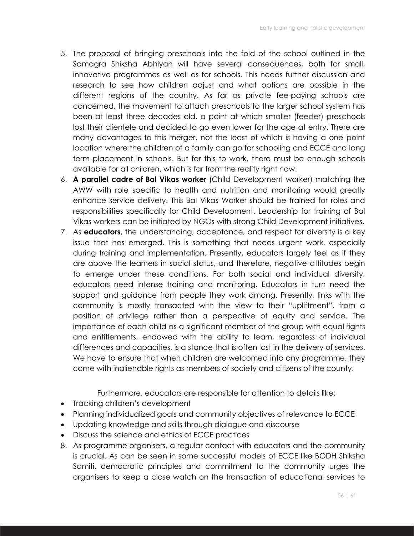- 5. The proposal of bringing preschools into the fold of the school outlined in the Samagra Shiksha Abhiyan will have several consequences, both for small, innovative programmes as well as for schools. This needs further discussion and research to see how children adjust and what options are possible in the different regions of the country. As far as private fee-paying schools are concerned, the movement to attach preschools to the larger school system has been at least three decades old, a point at which smaller (feeder) preschools lost their clientele and decided to go even lower for the age at entry. There are many advantages to this merger, not the least of which is having a one point location where the children of a family can go for schooling and ECCE and long term placement in schools. But for this to work, there must be enough schools available for all children, which is far from the reality right now.
- 6. **A parallel cadre of Bal Vikas worker** (Child Development worker) matching the AWW with role specific to health and nutrition and monitoring would greatly enhance service delivery. This Bal Vikas Worker should be trained for roles and responsibilities specifically for Child Development. Leadership for training of Bal Vikas workers can be initiated by NGOs with strong Child Development initiatives.
- 7. As **educators,** the understanding, acceptance, and respect for diversity is a key issue that has emerged. This is something that needs urgent work, especially during training and implementation. Presently, educators largely feel as if they are above the learners in social status, and therefore, negative attitudes begin to emerge under these conditions. For both social and individual diversity, educators need intense training and monitoring. Educators in turn need the support and guidance from people they work among. Presently, links with the community is mostly transacted with the view to their "upliftment", from a position of privilege rather than a perspective of equity and service. The importance of each child as a significant member of the group with equal rights and entitlements, endowed with the ability to learn, regardless of individual differences and capacities, is a stance that is often lost in the delivery of services. We have to ensure that when children are welcomed into any programme, they come with inalienable rights as members of society and citizens of the county.

Furthermore, educators are responsible for attention to details like:

- Tracking children's development
- Planning individualized goals and community objectives of relevance to ECCE
- Updating knowledge and skills through dialogue and discourse
- Discuss the science and ethics of ECCE practices
- 8. As programme organisers, a regular contact with educators and the community is crucial. As can be seen in some successful models of ECCE like BODH Shiksha Samiti, democratic principles and commitment to the community urges the organisers to keep a close watch on the transaction of educational services to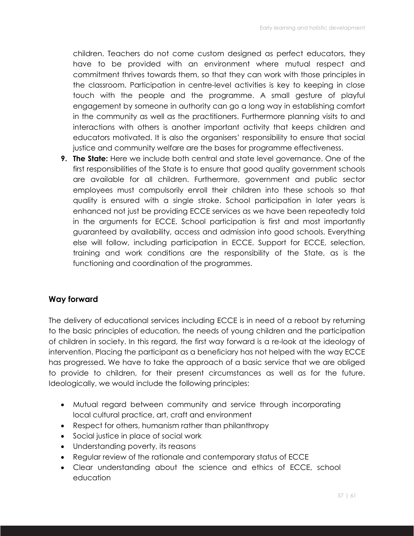children. Teachers do not come custom designed as perfect educators, they have to be provided with an environment where mutual respect and commitment thrives towards them, so that they can work with those principles in the classroom. Participation in centre-level activities is key to keeping in close touch with the people and the programme. A small gesture of playful engagement by someone in authority can go a long way in establishing comfort in the community as well as the practitioners. Furthermore planning visits to and interactions with others is another important activity that keeps children and educators motivated. It is also the organisers' responsibility to ensure that social justice and community welfare are the bases for programme effectiveness.

**9. The State:** Here we include both central and state level governance. One of the first responsibilities of the State is to ensure that good quality government schools are available for all children. Furthermore, government and public sector employees must compulsorily enroll their children into these schools so that quality is ensured with a single stroke. School participation in later years is enhanced not just be providing ECCE services as we have been repeatedly told in the arguments for ECCE. School participation is first and most importantly guaranteed by availability, access and admission into good schools. Everything else will follow, including participation in ECCE. Support for ECCE, selection, training and work conditions are the responsibility of the State, as is the functioning and coordination of the programmes.

#### **Way forward**

The delivery of educational services including ECCE is in need of a reboot by returning to the basic principles of education, the needs of young children and the participation of children in society. In this regard, the first way forward is a re-look at the ideology of intervention. Placing the participant as a beneficiary has not helped with the way ECCE has progressed. We have to take the approach of a basic service that we are obliged to provide to children, for their present circumstances as well as for the future. Ideologically, we would include the following principles:

- Mutual regard between community and service through incorporating local cultural practice, art, craft and environment
- Respect for others, humanism rather than philanthropy
- Social justice in place of social work
- Understanding poverty, its reasons
- Regular review of the rationale and contemporary status of ECCE
- Clear understanding about the science and ethics of ECCE, school education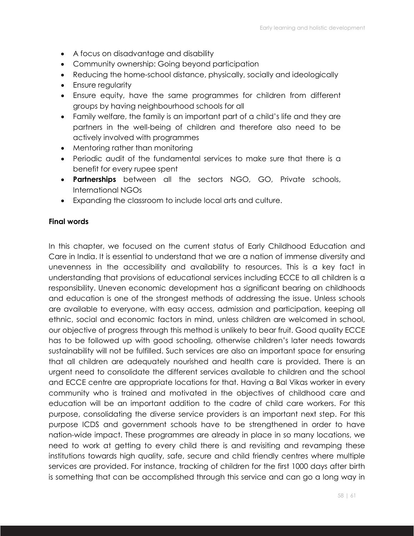- A focus on disadvantage and disability
- Community ownership: Going beyond participation
- Reducing the home-school distance, physically, socially and ideologically
- Ensure regularity
- Ensure equity, have the same programmes for children from different groups by having neighbourhood schools for all
- Family welfare, the family is an important part of a child's life and they are partners in the well-being of children and therefore also need to be actively involved with programmes
- Mentoring rather than monitoring
- Periodic audit of the fundamental services to make sure that there is a benefit for every rupee spent
- **Partnerships** between all the sectors NGO, GO, Private schools, International NGOs
- Expanding the classroom to include local arts and culture.

#### **Final words**

In this chapter, we focused on the current status of Early Childhood Education and Care in India. It is essential to understand that we are a nation of immense diversity and unevenness in the accessibility and availability to resources. This is a key fact in understanding that provisions of educational services including ECCE to all children is a responsibility. Uneven economic development has a significant bearing on childhoods and education is one of the strongest methods of addressing the issue. Unless schools are available to everyone, with easy access, admission and participation, keeping all ethnic, social and economic factors in mind, unless children are welcomed in school, our objective of progress through this method is unlikely to bear fruit. Good quality ECCE has to be followed up with good schooling, otherwise children's later needs towards sustainability will not be fulfilled. Such services are also an important space for ensuring that all children are adequately nourished and health care is provided. There is an urgent need to consolidate the different services available to children and the school and ECCE centre are appropriate locations for that. Having a Bal Vikas worker in every community who is trained and motivated in the objectives of childhood care and education will be an important addition to the cadre of child care workers. For this purpose, consolidating the diverse service providers is an important next step. For this purpose ICDS and government schools have to be strengthened in order to have nation-wide impact. These programmes are already in place in so many locations, we need to work at getting to every child there is and revisiting and revamping these institutions towards high quality, safe, secure and child friendly centres where multiple services are provided. For instance, tracking of children for the first 1000 days after birth is something that can be accomplished through this service and can go a long way in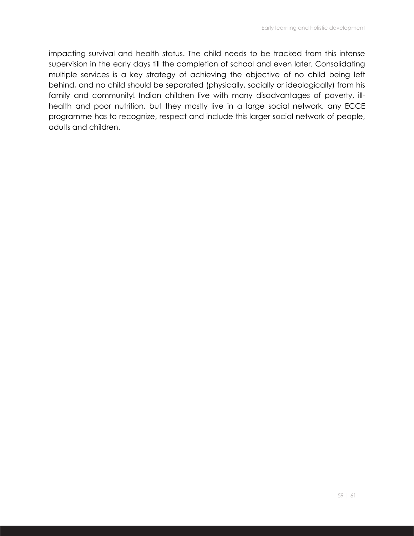impacting survival and health status. The child needs to be tracked from this intense supervision in the early days till the completion of school and even later. Consolidating multiple services is a key strategy of achieving the objective of no child being left behind, and no child should be separated (physically, socially or ideologically) from his family and community! Indian children live with many disadvantages of poverty, illhealth and poor nutrition, but they mostly live in a large social network, any ECCE programme has to recognize, respect and include this larger social network of people, adults and children.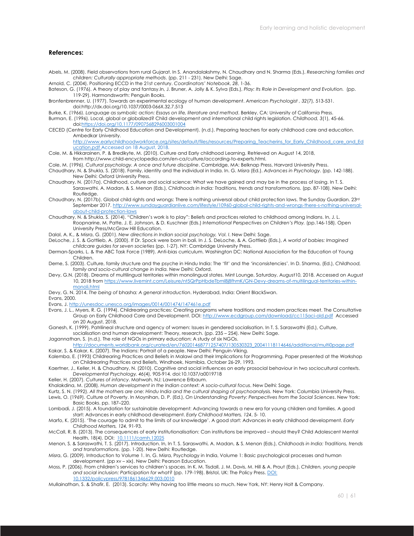#### **References:**

- Abels, M. (2008). Field observations from rural Gujarat. In S. Anandalakshmy, N. Chaudhary and N. Sharma (Eds.), *Researching families and children: Culturally appropriate methods*. (pp. 211 - 231). New Delhi: Sage.
- Arnold, C. (2004). Positioning ECCD in the 21st century. *Coordinators' Notebook*, *28*, 1-36.
- Bateson, G. (1976). A theory of play and fantasy.In, J. Bruner, A. Jolly & K. Sylva (Eds.), *Play: Its Role in Development and Evolution.* (pp. 119-29). Harmondsworth: Penguin Books.
- Bronfenbrenner, U. (1977). Towards an experimental ecology of human development. *American Psychologist , 32*(7), 513-531. doi:http://dx.doi.org/10.1037/0003-066X.32.7.513
- Burke, K. (1966). *Language as symbolic action: Essays on life, literature and method*. Berkley, CA: University of California Press.
- Burman, E. (1996). Local, global or globalized? Child development and international child rights legislation. *Childhood, 3*(1), 45-66. doi:https://doi.org/10.1177/0907568296003001004
- CECED (Centre for Early Childhood Education and Development). (n.d.). Preparing teachers for early childhood care and education. Ambedkar University.

http://www.earlychildhoodworkforce.org/sites/default/files/resources/Preparing\_Teacherins\_for\_Early\_Childhood\_care\_and\_Ed ucation.pdf Accessed on 18 August, 2018.

- Cole, M. & Hkkarainen, P. & Bredikyte, M. (2010). Culture and Early childhood Learning. Retrieved on August 14, 2018, from http://www.child-encyclopedia.com/en-ca/culture/according-to-experts.html.
- Cole, M. (1996). *Cultural psychology. A once and future discipline*. Cambridge, MA: Belknap Press, Harvard University Press.
- Chaudhary, N. & Shukla, S. (2018). Family, identity and the individual in India. In. G. Misra (Ed.). *Advances in Psychology*. (pp. 142-188). New Delhi: Oxford University Press.
- Chaudhary, N. (2017a). Childhood, culture and social science: What we have gained and may be in the process of losing. In T. S. Saraswathi, A. Madan, & S. Menon (Eds.), *Childhoods in India: Traditions, trends and transformations*. (pp. 87-108). New Delhi: Routledge.
- Chaudhary, N. (2017b). Global child rights and wrongs: There is nothing universal about child protection laws. The Sunday Guardian. 23rd September 2017. http://www.sundayguardianlive.com/lifestyle/10960-global-child-rights-and-wrongs-there-s-nothing-universalabout-child-protection-laws
- Chaudhary, N. & Shukla, S. (2014). "Children's work is to play": Beliefs and practices related to childhood among Indians. In, J. L. Roopnarine, M. Patte, J. E. Johnson, & D. Kuschner (Eds.) *International Perspectives on Children's Play.* (pp.146-158). Open University Press/McGraw Hill Education.
- Dalal, A. K., & Misra, G. (2001). *New directions in Indian social psychology, Vol. I*. New Delhi: Sage.
- DeLoche, J. S. & Gottlieb, A. (2000). If Dr. Spock were born in bali. In J. S. DeLoche, & A. Gottlieb (Eds.), *A world of babies: Imagined childcare guides for seven societies* (pp. 1-27). NY: Cambridge University Press.
- Derman-Sparks, L. & the ABC Task Force (1989). Anti-bias curriculum. Washington DC: National Association for the Education of Young Children.
- Derne, S. (2003). Culture, family structure and the psyche in Hindu India: The 'fit' and the 'inconsistencies'. In D. Sharma, (Ed.), *Childhood, family and socio-cultural change in India.* New Delhi: Oxford.
- Devy, G.N. (2018). Dreams of multilingual territories within monolingual states. Mint Lounge, Saturday, August10, 2018. Accessed on August 10, 2018 from https://www.livemint.com/Leisure/nt5QrPpHbdeTbml8j8fhmK/GN-Devy-dreams-of-multilingual-territories-withinmonoli.html
- Devy, G. N. 2014. *The being of* bhasha*: A general introduction*. Hyderabad, India: Orient BlackSwan.
- Evans, 2000.
- Evans, J. http://unesdoc.unesco.org/images/0014/001474/147461e.pdf
- Evans, J. L., Myers, R. G. (1994). Childrearing practices: Creating programs where traditions and modern practices meet. The Consultative Group on Early Childhood Care and Development. DOI: http://www.ecdgroup.com/download/cc115aci-old.pdf Accessed on 20 August, 2018.
- Ganesh, K. (1999). Patrilineal structure and agency of women: Issues in gendered socialisation. In T. S. Saraswathi (Ed.), Culture, socialisation and human development: Theory, research. (pp. 235 – 254). New Delhi: Sage.
- Jagannathan, S. (n.d.). The role of NGOs in primary education: A study of six NGOs.
- http://documents.worldbank.org/curated/en/760201468771257407/130530323\_20041118114646/additional/multi0page.pdf Kakar, S. & Kakar, K. (2007). The Indians: Portrait of a people. New Delhi: Penguin-Viking.
- Kalemba, E. (1993) Childrearing Practices and Beliefs in Malawi and their Implications for Programming. Paper presented at the Workshop on Childrearing Practices and Beliefs, Windhoek, Namibia, October 26-29, 1993.
- Kaertner, J., Keller, H. & Chaudhary, N. (2010). Cognitive and social influences on early prosocial behaviour in two sociocultural contexts. *Developmental Psychology, 46*(4), 905-914. doi:10.1037/a0019718
- Keller, H. (2007). *Cultures of infancy*. Mahwah, NJ: Lawrence Erlbaum.
- Khalakdina, M. (2008). *Human development in the Indian context: A socio-cultural focus*. New Delhi: Sage.
- Kurtz, S. N. (1992). All the mothers are one: Hindu India and the cultural shaping of psychoanalysis. New York: Columbia University Press.
- Lewis, O. (1969). Culture of Poverty. In Moynihan, D. P. (Ed.), *On Understanding Poverty: Perspectives from the Social Sciences*. New York: Basic Books. pp. 187–220.
- Lombadi, J. (2015). A foundation for sustainable development: Advancing towards a new era for young children and families. A good start: Advances in early childhood development. *Early Childhood Matters, 124*, 5- 10.
- Marfo, K. (2015). 'The courage to admit to the limits of our knowledge'. A good start: Advances in early childhood development. *Early Childhood Matters, 124,* 91-93.
- McCall, R. B. (2013). The consequences of early institutionalisation: Can institutions be improved should they? Child Adolescent Mental Health, 18(4). DOI: 10.1111/camh.12025
- Menon, S. & Saraswathi, T. S. (2017). Introduction. In, In T. S. Saraswathi, A. Madan, & S. Menon (Eds.), *Childhoods in India: Traditions, trends and transformations*. (pp. 1-20). New Delhi: Routledge.
- Misra, G. (2009). Introduction to Volume 1. In, G. Misra, Psychology in India, Volume 1: Basic psychological processes and human development. (pp xv – xix). New Delhi: Pearson Education.
- Moss, P. (2006). From children's services to children's spaces. In K. M. Tisdall, J. M. Davis, M. Hill & A. Prout (Eds.), *Children, young people*  and social inclusion: Participation for what? (pp. 179-198). Bristol, UK: The Policy Press. **DOI:** 10.1332/policypress/9781861346629.003.0010
- Mullainathan, S. & Shafir, E. (2013). Scarcity: Why having too little means so much. New York, NY: Henry Holt & Company.